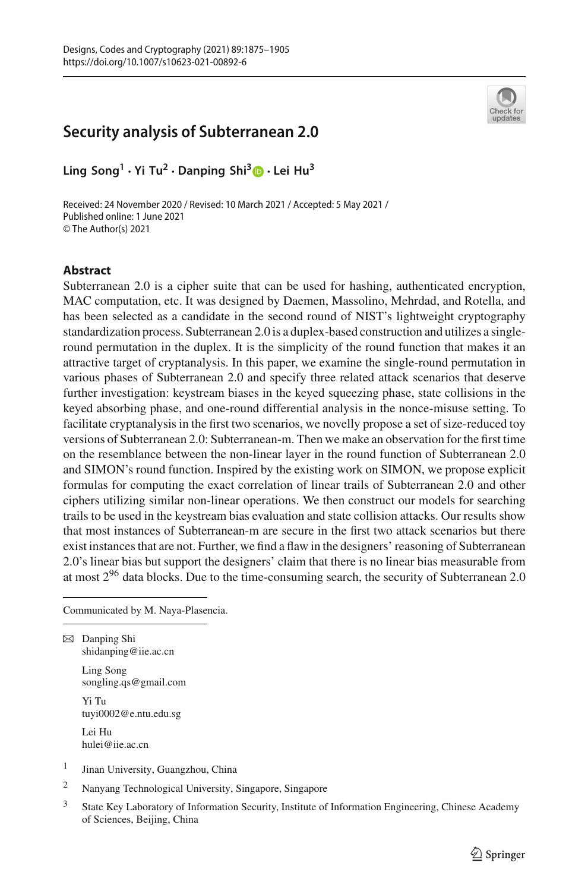# **Security analysis of Subterranean 2.0**



**Ling Song<sup>1</sup> · Yi Tu2 · Danping Shi[3](http://orcid.org/0000-0003-2809-8647) · Lei Hu3**

Received: 24 November 2020 / Revised: 10 March 2021 / Accepted: 5 May 2021 / Published online: 1 June 2021 © The Author(s) 2021

### **Abstract**

Subterranean 2.0 is a cipher suite that can be used for hashing, authenticated encryption, MAC computation, etc. It was designed by Daemen, Massolino, Mehrdad, and Rotella, and has been selected as a candidate in the second round of NIST's lightweight cryptography standardization process. Subterranean 2.0 is a duplex-based construction and utilizes a singleround permutation in the duplex. It is the simplicity of the round function that makes it an attractive target of cryptanalysis. In this paper, we examine the single-round permutation in various phases of Subterranean 2.0 and specify three related attack scenarios that deserve further investigation: keystream biases in the keyed squeezing phase, state collisions in the keyed absorbing phase, and one-round differential analysis in the nonce-misuse setting. To facilitate cryptanalysis in the first two scenarios, we novelly propose a set of size-reduced toy versions of Subterranean 2.0: Subterranean-m. Then we make an observation for the first time on the resemblance between the non-linear layer in the round function of Subterranean 2.0 and SIMON's round function. Inspired by the existing work on SIMON, we propose explicit formulas for computing the exact correlation of linear trails of Subterranean 2.0 and other ciphers utilizing similar non-linear operations. We then construct our models for searching trails to be used in the keystream bias evaluation and state collision attacks. Our results show that most instances of Subterranean-m are secure in the first two attack scenarios but there exist instances that are not. Further, we find a flaw in the designers' reasoning of Subterranean 2.0's linear bias but support the designers' claim that there is no linear bias measurable from at most 2<sup>96</sup> data blocks. Due to the time-consuming search, the security of Subterranean 2.0

Communicated by M. Naya-Plasencia.

 $\boxtimes$  Danping Shi shidanping@iie.ac.cn

> Ling Song songling.qs@gmail.com

Yi Tu tuyi0002@e.ntu.edu.sg

Lei Hu hulei@iie.ac.cn

- <sup>1</sup> Jinan University, Guangzhou, China
- <sup>2</sup> Nanyang Technological University, Singapore, Singapore
- <sup>3</sup> State Key Laboratory of Information Security, Institute of Information Engineering, Chinese Academy of Sciences, Beijing, China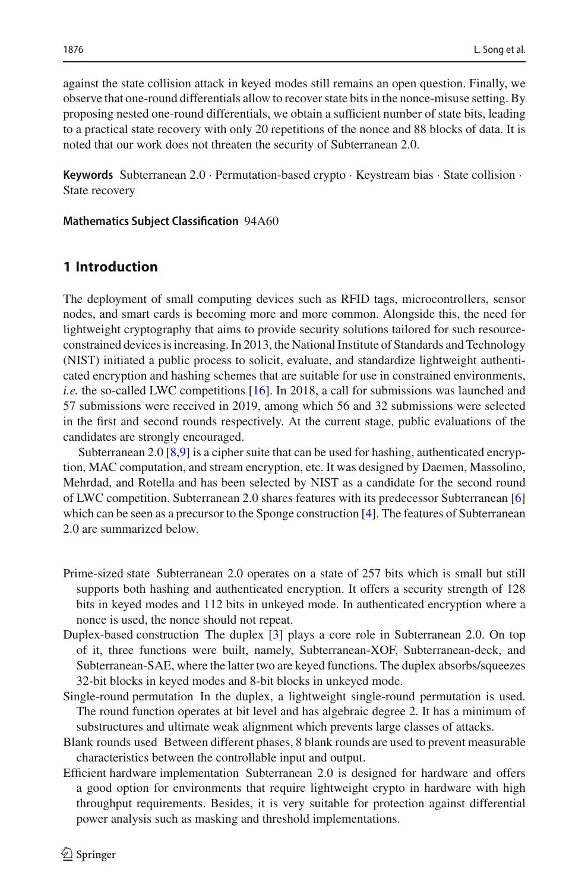against the state collision attack in keyed modes still remains an open question. Finally, we observe that one-round differentials allow to recover state bits in the nonce-misuse setting. By proposing nested one-round differentials, we obtain a sufficient number of state bits, leading to a practical state recovery with only 20 repetitions of the nonce and 88 blocks of data. It is noted that our work does not threaten the security of Subterranean 2.0.

**Keywords** Subterranean 2.0 · Permutation-based crypto · Keystream bias · State collision · State recovery

#### **Mathematics Subject Classification** 94A60

## **1 Introduction**

The deployment of small computing devices such as RFID tags, microcontrollers, sensor nodes, and smart cards is becoming more and more common. Alongside this, the need for lightweight cryptography that aims to provide security solutions tailored for such resourceconstrained devices is increasing. In 2013, the National Institute of Standards and Technology (NIST) initiated a public process to solicit, evaluate, and standardize lightweight authenticated encryption and hashing schemes that are suitable for use in constrained environments, *i.e.* the so-called LWC competitions [\[16\]](#page-29-0). In 2018, a call for submissions was launched and 57 submissions were received in 2019, among which 56 and 32 submissions were selected in the first and second rounds respectively. At the current stage, public evaluations of the candidates are strongly encouraged.

Subterranean 2.0 [\[8](#page-29-1)[,9](#page-29-2)] is a cipher suite that can be used for hashing, authenticated encryption, MAC computation, and stream encryption, etc. It was designed by Daemen, Massolino, Mehrdad, and Rotella and has been selected by NIST as a candidate for the second round of LWC competition. Subterranean 2.0 shares features with its predecessor Subterranean [\[6\]](#page-29-3) which can be seen as a precursor to the Sponge construction [\[4](#page-28-0)]. The features of Subterranean 2.0 are summarized below.

- Prime-sized state Subterranean 2.0 operates on a state of 257 bits which is small but still supports both hashing and authenticated encryption. It offers a security strength of 128 bits in keyed modes and 112 bits in unkeyed mode. In authenticated encryption where a nonce is used, the nonce should not repeat.
- Duplex-based construction The duplex [\[3\]](#page-28-1) plays a core role in Subterranean 2.0. On top of it, three functions were built, namely, Subterranean-XOF, Subterranean-deck, and Subterranean-SAE, where the latter two are keyed functions. The duplex absorbs/squeezes 32-bit blocks in keyed modes and 8-bit blocks in unkeyed mode.
- Single-round permutation In the duplex, a lightweight single-round permutation is used. The round function operates at bit level and has algebraic degree 2. It has a minimum of substructures and ultimate weak alignment which prevents large classes of attacks.
- Blank rounds used Between different phases, 8 blank rounds are used to prevent measurable characteristics between the controllable input and output.
- Efficient hardware implementation Subterranean 2.0 is designed for hardware and offers a good option for environments that require lightweight crypto in hardware with high throughput requirements. Besides, it is very suitable for protection against differential power analysis such as masking and threshold implementations.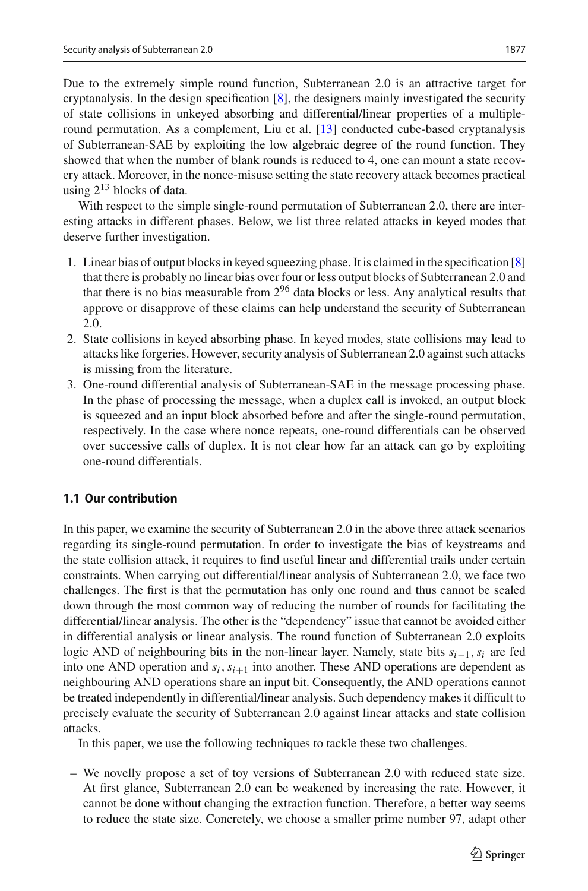Due to the extremely simple round function, Subterranean 2.0 is an attractive target for cryptanalysis. In the design specification [\[8](#page-29-1)], the designers mainly investigated the security of state collisions in unkeyed absorbing and differential/linear properties of a multipleround permutation. As a complement, Liu et al. [\[13\]](#page-29-4) conducted cube-based cryptanalysis of Subterranean-SAE by exploiting the low algebraic degree of the round function. They showed that when the number of blank rounds is reduced to 4, one can mount a state recovery attack. Moreover, in the nonce-misuse setting the state recovery attack becomes practical using  $2^{13}$  blocks of data.

With respect to the simple single-round permutation of Subterranean 2.0, there are interesting attacks in different phases. Below, we list three related attacks in keyed modes that deserve further investigation.

- 1. Linear bias of output blocks in keyed squeezing phase. It is claimed in the specification [\[8\]](#page-29-1) that there is probably no linear bias over four or less output blocks of Subterranean 2.0 and that there is no bias measurable from  $2^{96}$  data blocks or less. Any analytical results that approve or disapprove of these claims can help understand the security of Subterranean 2.0.
- 2. State collisions in keyed absorbing phase. In keyed modes, state collisions may lead to attacks like forgeries. However, security analysis of Subterranean 2.0 against such attacks is missing from the literature.
- 3. One-round differential analysis of Subterranean-SAE in the message processing phase. In the phase of processing the message, when a duplex call is invoked, an output block is squeezed and an input block absorbed before and after the single-round permutation, respectively. In the case where nonce repeats, one-round differentials can be observed over successive calls of duplex. It is not clear how far an attack can go by exploiting one-round differentials.

## **1.1 Our contribution**

In this paper, we examine the security of Subterranean 2.0 in the above three attack scenarios regarding its single-round permutation. In order to investigate the bias of keystreams and the state collision attack, it requires to find useful linear and differential trails under certain constraints. When carrying out differential/linear analysis of Subterranean 2.0, we face two challenges. The first is that the permutation has only one round and thus cannot be scaled down through the most common way of reducing the number of rounds for facilitating the differential/linear analysis. The other is the "dependency" issue that cannot be avoided either in differential analysis or linear analysis. The round function of Subterranean 2.0 exploits logic AND of neighbouring bits in the non-linear layer. Namely, state bits *si*−1,*si* are fed into one AND operation and  $s_i$ ,  $s_{i+1}$  into another. These AND operations are dependent as neighbouring AND operations share an input bit. Consequently, the AND operations cannot be treated independently in differential/linear analysis. Such dependency makes it difficult to precisely evaluate the security of Subterranean 2.0 against linear attacks and state collision attacks.

In this paper, we use the following techniques to tackle these two challenges.

– We novelly propose a set of toy versions of Subterranean 2.0 with reduced state size. At first glance, Subterranean 2.0 can be weakened by increasing the rate. However, it cannot be done without changing the extraction function. Therefore, a better way seems to reduce the state size. Concretely, we choose a smaller prime number 97, adapt other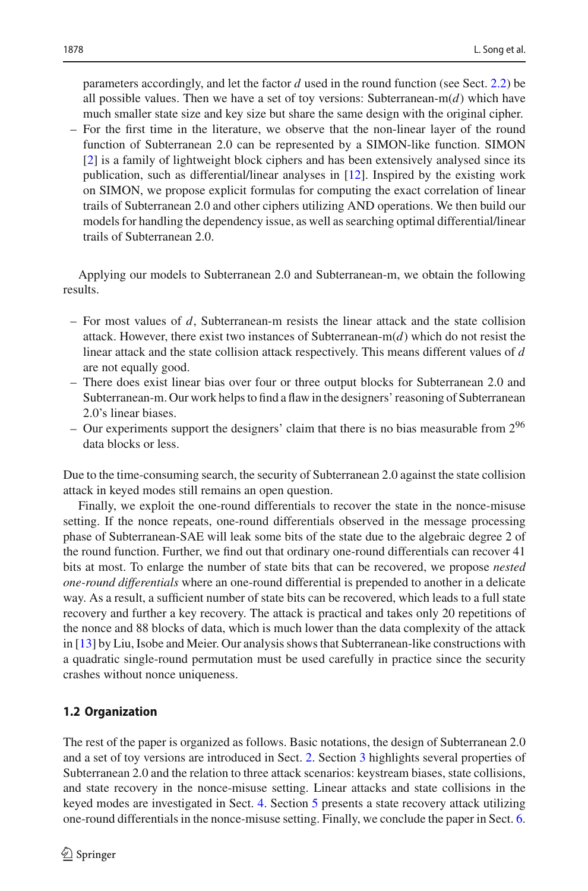parameters accordingly, and let the factor *d* used in the round function (see Sect. [2.2\)](#page-4-0) be all possible values. Then we have a set of toy versions: Subterranean-m(*d*) which have much smaller state size and key size but share the same design with the original cipher.

– For the first time in the literature, we observe that the non-linear layer of the round function of Subterranean 2.0 can be represented by a SIMON-like function. SIMON [\[2](#page-28-2)] is a family of lightweight block ciphers and has been extensively analysed since its publication, such as differential/linear analyses in [\[12\]](#page-29-5). Inspired by the existing work on SIMON, we propose explicit formulas for computing the exact correlation of linear trails of Subterranean 2.0 and other ciphers utilizing AND operations. We then build our models for handling the dependency issue, as well as searching optimal differential/linear trails of Subterranean 2.0.

Applying our models to Subterranean 2.0 and Subterranean-m, we obtain the following results.

- For most values of *d*, Subterranean-m resists the linear attack and the state collision attack. However, there exist two instances of Subterranean- $m(d)$  which do not resist the linear attack and the state collision attack respectively. This means different values of *d* are not equally good.
- There does exist linear bias over four or three output blocks for Subterranean 2.0 and Subterranean-m. Our work helps to find a flaw in the designers' reasoning of Subterranean 2.0's linear biases.
- Our experiments support the designers' claim that there is no bias measurable from  $2^{96}$ data blocks or less.

Due to the time-consuming search, the security of Subterranean 2.0 against the state collision attack in keyed modes still remains an open question.

Finally, we exploit the one-round differentials to recover the state in the nonce-misuse setting. If the nonce repeats, one-round differentials observed in the message processing phase of Subterranean-SAE will leak some bits of the state due to the algebraic degree 2 of the round function. Further, we find out that ordinary one-round differentials can recover 41 bits at most. To enlarge the number of state bits that can be recovered, we propose *nested one-round differentials* where an one-round differential is prepended to another in a delicate way. As a result, a sufficient number of state bits can be recovered, which leads to a full state recovery and further a key recovery. The attack is practical and takes only 20 repetitions of the nonce and 88 blocks of data, which is much lower than the data complexity of the attack in [\[13\]](#page-29-4) by Liu, Isobe and Meier. Our analysis shows that Subterranean-like constructions with a quadratic single-round permutation must be used carefully in practice since the security crashes without nonce uniqueness.

## **1.2 Organization**

The rest of the paper is organized as follows. Basic notations, the design of Subterranean 2.0 and a set of toy versions are introduced in Sect. [2.](#page-4-1) Section [3](#page-7-0) highlights several properties of Subterranean 2.0 and the relation to three attack scenarios: keystream biases, state collisions, and state recovery in the nonce-misuse setting. Linear attacks and state collisions in the keyed modes are investigated in Sect. [4.](#page-10-0) Section [5](#page-17-0) presents a state recovery attack utilizing one-round differentials in the nonce-misuse setting. Finally, we conclude the paper in Sect. [6.](#page-22-0)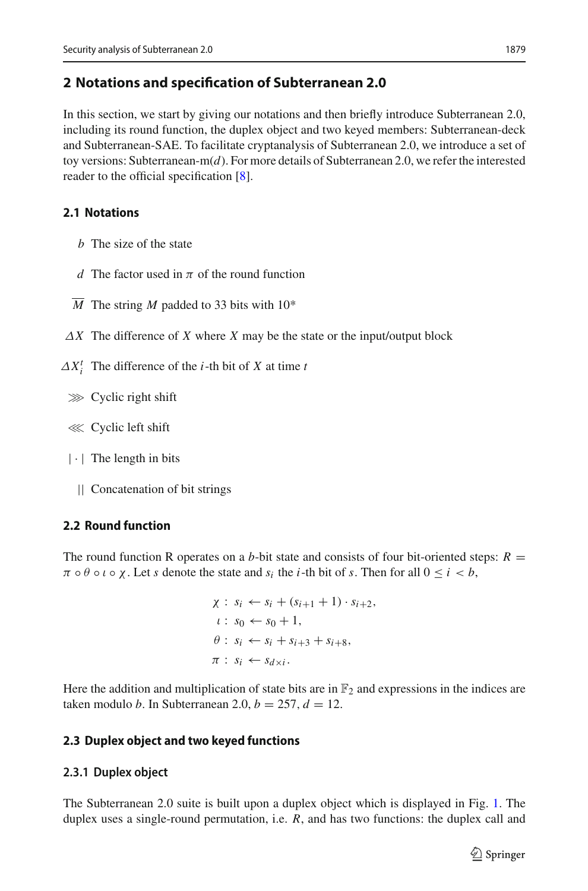## <span id="page-4-1"></span>**2 Notations and specification of Subterranean 2.0**

In this section, we start by giving our notations and then briefly introduce Subterranean 2.0, including its round function, the duplex object and two keyed members: Subterranean-deck and Subterranean-SAE. To facilitate cryptanalysis of Subterranean 2.0, we introduce a set of toy versions: Subterranean-m(*d*). For more details of Subterranean 2.0, we refer the interested reader to the official specification [\[8\]](#page-29-1).

## **2.1 Notations**

- *b* The size of the state
- *d* The factor used in  $\pi$  of the round function
- *M* The string *M* padded to 33 bits with 10\*
- $\Delta X$  The difference of *X* where *X* may be the state or the input/output block
- $\Delta X_i^t$  The difference of the *i*-th bit of *X* at time *t* 
	- ≫ Cyclic right shift
	- ≪ Cyclic left shift
	- $|\cdot|$  The length in bits
		- || Concatenation of bit strings

## <span id="page-4-0"></span>**2.2 Round function**

The round function R operates on a *b*-bit state and consists of four bit-oriented steps:  $R =$  $\pi \circ \theta \circ \iota \circ \chi$ . Let *s* denote the state and  $s_i$  the *i*-th bit of *s*. Then for all  $0 \leq i \leq b$ ,

$$
\chi: s_i \leftarrow s_i + (s_{i+1} + 1) \cdot s_{i+2},
$$
  
\n
$$
\iota: s_0 \leftarrow s_0 + 1,
$$
  
\n
$$
\theta: s_i \leftarrow s_i + s_{i+3} + s_{i+8},
$$
  
\n
$$
\pi: s_i \leftarrow s_{d \times i}.
$$

Here the addition and multiplication of state bits are in  $\mathbb{F}_2$  and expressions in the indices are taken modulo *b*. In Subterranean 2.0,  $b = 257$ ,  $d = 12$ .

## **2.3 Duplex object and two keyed functions**

## **2.3.1 Duplex object**

The Subterranean 2.0 suite is built upon a duplex object which is displayed in Fig. [1.](#page-5-0) The duplex uses a single-round permutation, i.e. *R*, and has two functions: the duplex call and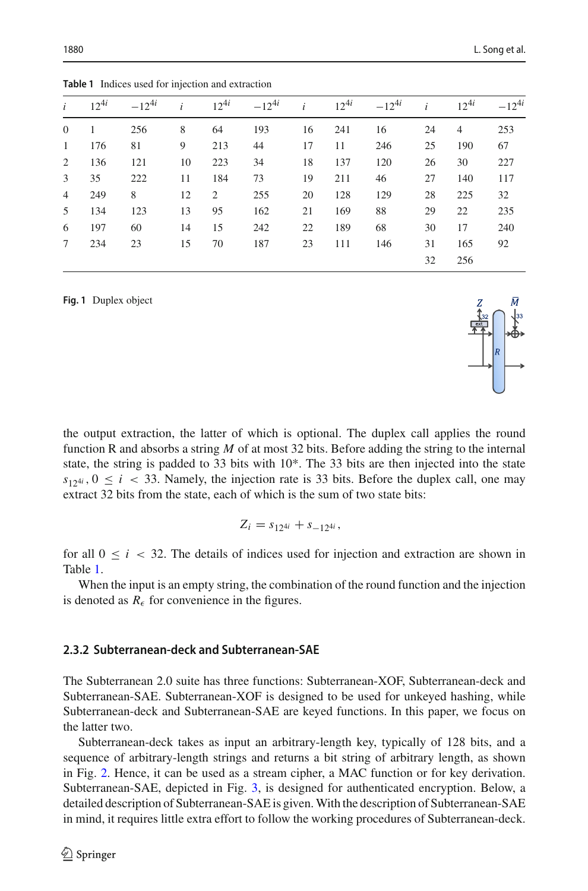<span id="page-5-1"></span>

|   |           | <b>Table 1</b> Indices used for injection and extraction |    |                |            |              |           |            |    |                |            |
|---|-----------|----------------------------------------------------------|----|----------------|------------|--------------|-----------|------------|----|----------------|------------|
|   | $12^{4i}$ | $-12^{4i}$                                               |    | $12^{4i}$      | $-12^{4i}$ | $\mathbf{i}$ | $12^{4i}$ | $-12^{4i}$ |    | $12^{4i}$      | $-12^{4i}$ |
| 0 |           | 256                                                      | 8  | 64             | 193        | 16           | 241       | 16         | 24 | $\overline{4}$ | 253        |
| 1 | 176       | 81                                                       | 9  | 213            | 44         | 17           | 11        | 246        | 25 | 190            | 67         |
| 2 | 136       | 121                                                      | 10 | 223            | 34         | 18           | 137       | 120        | 26 | 30             | 227        |
| 3 | 35        | 222                                                      | 11 | 184            | 73         | 19           | 211       | 46         | 27 | 140            | 117        |
| 4 | 249       | 8                                                        | 12 | $\overline{c}$ | 255        | 20           | 128       | 129        | 28 | 225            | 32         |
| 5 | 134       | 123                                                      | 13 | 95             | 162        | 21           | 169       | 88         | 29 | 22             | 235        |

6 197 60 14 15 242 22 189 68 30 17 240 7 234 23 15 70 187 23 111 146 31 165 92

<span id="page-5-0"></span>**Fig. 1** Duplex object

the output extraction, the latter of which is optional. The duplex call applies the round function R and absorbs a string *M* of at most 32 bits. Before adding the string to the internal state, the string is padded to 33 bits with  $10<sup>*</sup>$ . The 33 bits are then injected into the state  $s_{124i}$ ,  $0 \le i \le 33$ . Namely, the injection rate is 33 bits. Before the duplex call, one may extract 32 bits from the state, each of which is the sum of two state bits:

$$
Z_i = s_{12^{4i}} + s_{-12^{4i}},
$$

for all  $0 \le i < 32$ . The details of indices used for injection and extraction are shown in Table [1.](#page-5-1)

When the input is an empty string, the combination of the round function and the injection is denoted as  $R_{\epsilon}$  for convenience in the figures.

### **2.3.2 Subterranean-deck and Subterranean-SAE**

The Subterranean 2.0 suite has three functions: Subterranean-XOF, Subterranean-deck and Subterranean-SAE. Subterranean-XOF is designed to be used for unkeyed hashing, while Subterranean-deck and Subterranean-SAE are keyed functions. In this paper, we focus on the latter two.

Subterranean-deck takes as input an arbitrary-length key, typically of 128 bits, and a sequence of arbitrary-length strings and returns a bit string of arbitrary length, as shown in Fig. [2.](#page-6-0) Hence, it can be used as a stream cipher, a MAC function or for key derivation. Subterranean-SAE, depicted in Fig. [3,](#page-6-1) is designed for authenticated encryption. Below, a detailed description of Subterranean-SAE is given.With the description of Subterranean-SAE in mind, it requires little extra effort to follow the working procedures of Subterranean-deck.



32 256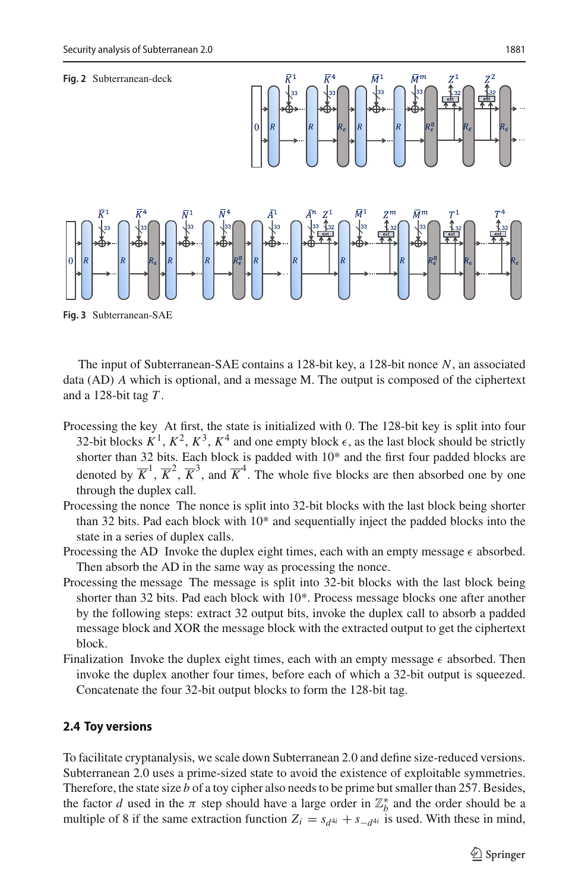<span id="page-6-0"></span>

<span id="page-6-1"></span>The input of Subterranean-SAE contains a 128-bit key, a 128-bit nonce *N*, an associated data (AD) *A* which is optional, and a message M. The output is composed of the ciphertext and a 128-bit tag *T* .

- Processing the key At first, the state is initialized with 0. The 128-bit key is split into four 32-bit blocks  $K^1$ ,  $K^2$ ,  $K^3$ ,  $K^4$  and one empty block  $\epsilon$ , as the last block should be strictly shorter than 32 bits. Each block is padded with 10\* and the first four padded blocks are denoted by  $\overline{K}^1$ ,  $\overline{K}^2$ ,  $\overline{K}^3$ , and  $\overline{K}^4$ . The whole five blocks are then absorbed one by one through the duplex call.
- Processing the nonce The nonce is split into 32-bit blocks with the last block being shorter than 32 bits. Pad each block with 10\* and sequentially inject the padded blocks into the state in a series of duplex calls.
- Processing the AD Invoke the duplex eight times, each with an empty message  $\epsilon$  absorbed. Then absorb the AD in the same way as processing the nonce.
- Processing the message The message is split into 32-bit blocks with the last block being shorter than 32 bits. Pad each block with 10\*. Process message blocks one after another by the following steps: extract 32 output bits, invoke the duplex call to absorb a padded message block and XOR the message block with the extracted output to get the ciphertext block.
- Finalization Invoke the duplex eight times, each with an empty message  $\epsilon$  absorbed. Then invoke the duplex another four times, before each of which a 32-bit output is squeezed. Concatenate the four 32-bit output blocks to form the 128-bit tag.

### **2.4 Toy versions**

To facilitate cryptanalysis, we scale down Subterranean 2.0 and define size-reduced versions. Subterranean 2.0 uses a prime-sized state to avoid the existence of exploitable symmetries. Therefore, the state size *b* of a toy cipher also needs to be prime but smaller than 257. Besides, the factor *d* used in the  $\pi$  step should have a large order in  $\mathbb{Z}_{b}^{*}$  and the order should be a multiple of 8 if the same extraction function  $Z_i = s_{d^{4i}} + s_{-d^{4i}}$  is used. With these in mind,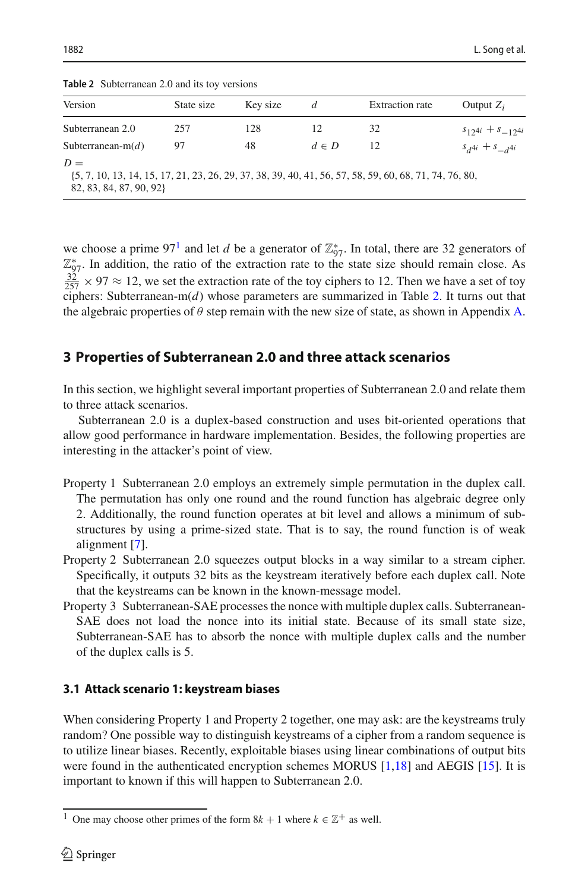| $\frac{1}{2}$ where $\frac{1}{2}$ is the contract $\frac{1}{2}$ and $\frac{1}{2}$ is the contract of $\frac{1}{2}$ |            |          |           |                                                                                                        |                          |  |
|--------------------------------------------------------------------------------------------------------------------|------------|----------|-----------|--------------------------------------------------------------------------------------------------------|--------------------------|--|
| Version                                                                                                            | State size | Key size | d         | <b>Extraction rate</b>                                                                                 | Output $Z_i$             |  |
| Subterranean 2.0                                                                                                   | 257        | 128      | 12        | 32                                                                                                     | $s_{12}a_i + s_{-12}a_i$ |  |
| Subterranean-m $(d)$                                                                                               | 97         | 48       | $d \in D$ | 12                                                                                                     | $s_{d4i} + s_{d4i}$      |  |
| $D =$                                                                                                              |            |          |           | {5, 7, 10, 13, 14, 15, 17, 21, 23, 26, 29, 37, 38, 39, 40, 41, 56, 57, 58, 59, 60, 68, 71, 74, 76, 80, |                          |  |

<span id="page-7-2"></span>**Table 2** Subterranean 2.0 and its toy versions

{5, 7, 10, 13, 14, 15, 17, 21, 23, 26, 29, 37, 38, 39, 40, 41, 56, 57, 58, 59, 60, 68, 71, 74, 76, 80, 82, 83, 84, 87, 90, 92}

we choose a prime  $97<sup>1</sup>$  and let *d* be a generator of  $\mathbb{Z}_{97}^*$ . In total, there are 32 generators of  $\mathbb{Z}_{97}^*$ . In addition, the ratio of the extraction rate to the state size should remain close. As  $\frac{32}{257} \times 97 \approx 12$ , we set the extraction rate of the toy ciphers to 12. Then we have a set of toy ciphers: Subterranean-m(*d*) whose parameters are summarized in Table [2.](#page-7-2) It turns out that the algebraic properties of  $\theta$  step remain with the new size of state, as shown in Appendix [A.](#page-23-0)

## <span id="page-7-0"></span>**3 Properties of Subterranean 2.0 and three attack scenarios**

In this section, we highlight several important properties of Subterranean 2.0 and relate them to three attack scenarios.

Subterranean 2.0 is a duplex-based construction and uses bit-oriented operations that allow good performance in hardware implementation. Besides, the following properties are interesting in the attacker's point of view.

- Property 1 Subterranean 2.0 employs an extremely simple permutation in the duplex call. The permutation has only one round and the round function has algebraic degree only 2. Additionally, the round function operates at bit level and allows a minimum of substructures by using a prime-sized state. That is to say, the round function is of weak alignment [\[7](#page-29-6)].
- Property 2 Subterranean 2.0 squeezes output blocks in a way similar to a stream cipher. Specifically, it outputs 32 bits as the keystream iteratively before each duplex call. Note that the keystreams can be known in the known-message model.
- Property 3 Subterranean-SAE processes the nonce with multiple duplex calls. Subterranean-SAE does not load the nonce into its initial state. Because of its small state size, Subterranean-SAE has to absorb the nonce with multiple duplex calls and the number of the duplex calls is 5.

### **3.1 Attack scenario 1: keystream biases**

When considering Property 1 and Property 2 together, one may ask: are the keystreams truly random? One possible way to distinguish keystreams of a cipher from a random sequence is to utilize linear biases. Recently, exploitable biases using linear combinations of output bits were found in the authenticated encryption schemes MORUS [\[1](#page-28-3)[,18](#page-29-7)] and AEGIS [\[15\]](#page-29-8). It is important to known if this will happen to Subterranean 2.0.

<span id="page-7-1"></span><sup>&</sup>lt;sup>1</sup> One may choose other primes of the form  $8k + 1$  where  $k \in \mathbb{Z}^+$  as well.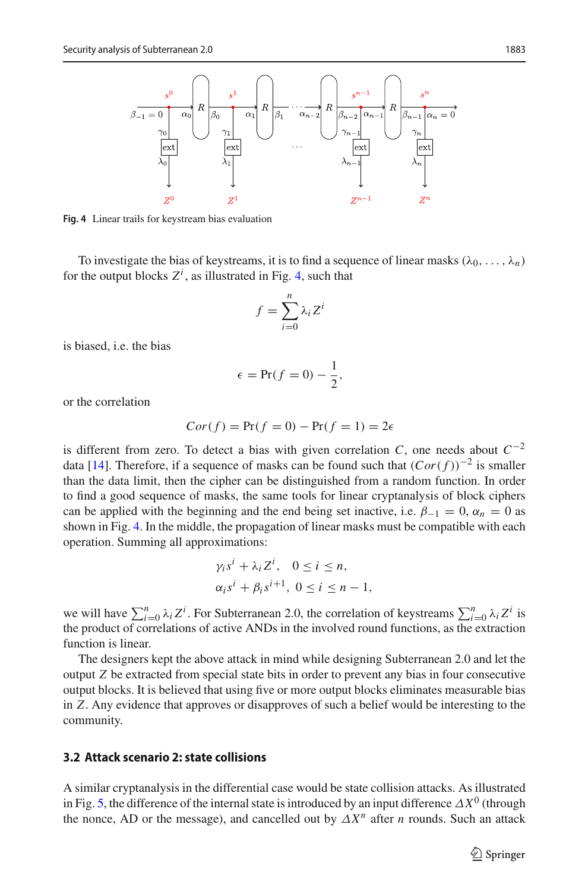

<span id="page-8-0"></span>**Fig. 4** Linear trails for keystream bias evaluation

To investigate the bias of keystreams, it is to find a sequence of linear masks  $(\lambda_0, \ldots, \lambda_n)$ for the output blocks  $Z^i$ , as illustrated in Fig. [4,](#page-8-0) such that

$$
f = \sum_{i=0}^{n} \lambda_i Z^i
$$

is biased, i.e. the bias

$$
\epsilon = \Pr(f = 0) - \frac{1}{2},
$$

or the correlation

$$
Cor(f) = Pr(f = 0) - Pr(f = 1) = 2\epsilon
$$

is different from zero. To detect a bias with given correlation *C*, one needs about  $C^{-2}$ data [\[14](#page-29-9)]. Therefore, if a sequence of masks can be found such that (*Cor*( *f* ))−<sup>2</sup> is smaller than the data limit, then the cipher can be distinguished from a random function. In order to find a good sequence of masks, the same tools for linear cryptanalysis of block ciphers can be applied with the beginning and the end being set inactive, i.e.  $\beta_{-1} = 0$ ,  $\alpha_n = 0$  as shown in Fig. [4.](#page-8-0) In the middle, the propagation of linear masks must be compatible with each operation. Summing all approximations:

$$
\gamma_i s^i + \lambda_i Z^i, \quad 0 \le i \le n,
$$
  

$$
\alpha_i s^i + \beta_i s^{i+1}, \quad 0 \le i \le n - 1,
$$

we will have  $\sum_{i=0}^{n} \lambda_i Z^i$ . For Subterranean 2.0, the correlation of keystreams  $\sum_{i=0}^{n} \lambda_i Z^i$  is the product of correlations of active ANDs in the involved round functions, as the extraction function is linear.

The designers kept the above attack in mind while designing Subterranean 2.0 and let the output *Z* be extracted from special state bits in order to prevent any bias in four consecutive output blocks. It is believed that using five or more output blocks eliminates measurable bias in *Z*. Any evidence that approves or disapproves of such a belief would be interesting to the community.

### **3.2 Attack scenario 2: state collisions**

A similar cryptanalysis in the differential case would be state collision attacks. As illustrated in Fig. [5,](#page-9-0) the difference of the internal state is introduced by an input difference  $\Delta X^0$  (through the nonce, AD or the message), and cancelled out by  $\Delta X^n$  after *n* rounds. Such an attack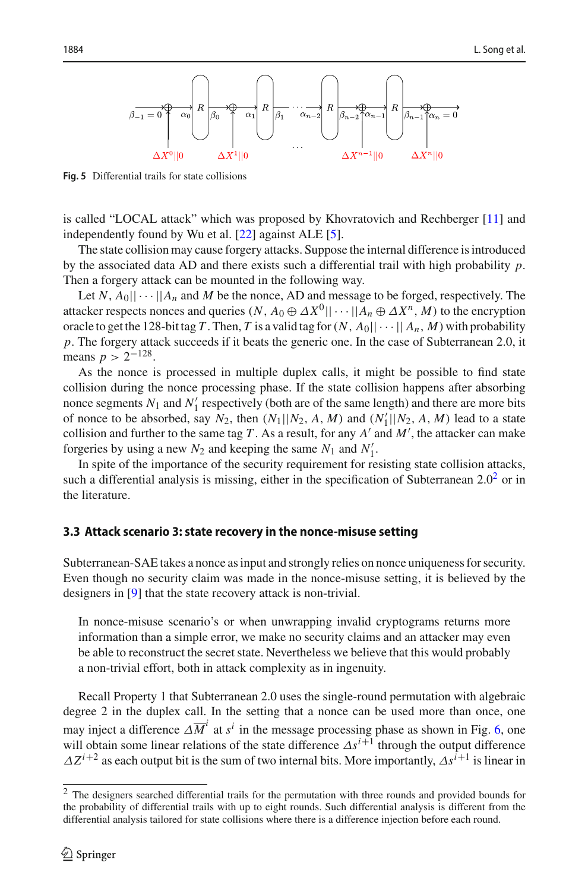

<span id="page-9-0"></span>**Fig. 5** Differential trails for state collisions

is called "LOCAL attack" which was proposed by Khovratovich and Rechberger [\[11](#page-29-10)] and independently found by Wu et al. [\[22](#page-30-0)] against ALE [\[5\]](#page-29-11).

The state collision may cause forgery attacks. Suppose the internal difference is introduced by the associated data AD and there exists such a differential trail with high probability *p*. Then a forgery attack can be mounted in the following way.

Let  $N$ ,  $A_0$ ||  $\cdots$ || $A_n$  and  $M$  be the nonce, AD and message to be forged, respectively. The attacker respects nonces and queries  $(N, A_0 \oplus \Delta X^0 || \cdots || A_n \oplus \Delta X^n, M)$  to the encryption oracle to get the 128-bit tag *T*. Then, *T* is a valid tag for  $(N, A_0|| \cdots || A_n, M)$  with probability *p*. The forgery attack succeeds if it beats the generic one. In the case of Subterranean 2.0, it means  $p > 2^{-128}$ .

As the nonce is processed in multiple duplex calls, it might be possible to find state collision during the nonce processing phase. If the state collision happens after absorbing nonce segments  $N_1$  and  $N'_1$  respectively (both are of the same length) and there are more bits of nonce to be absorbed, say  $N_2$ , then  $(N_1||N_2, A, M)$  and  $(N'_1||N_2, A, M)$  lead to a state collision and further to the same tag  $T$ . As a result, for any  $A'$  and  $M'$ , the attacker can make forgeries by using a new  $N_2$  and keeping the same  $N_1$  and  $N'_1$ .

In spite of the importance of the security requirement for resisting state collision attacks, such a differential analysis is missing, either in the specification of Subterranean  $2.0<sup>2</sup>$  or in the literature.

### **3.3 Attack scenario 3: state recovery in the nonce-misuse setting**

Subterranean-SAE takes a nonce as input and strongly relies on nonce uniqueness for security. Even though no security claim was made in the nonce-misuse setting, it is believed by the designers in [\[9\]](#page-29-2) that the state recovery attack is non-trivial.

In nonce-misuse scenario's or when unwrapping invalid cryptograms returns more information than a simple error, we make no security claims and an attacker may even be able to reconstruct the secret state. Nevertheless we believe that this would probably a non-trivial effort, both in attack complexity as in ingenuity.

Recall Property 1 that Subterranean 2.0 uses the single-round permutation with algebraic degree 2 in the duplex call. In the setting that a nonce can be used more than once, one may inject a difference  $\Delta \overline{M}^i$  at  $s^i$  in the message processing phase as shown in Fig. [6,](#page-10-1) one will obtain some linear relations of the state difference  $\Delta s^{i+1}$  through the output difference  $\Delta Z^{i+2}$  as each output bit is the sum of two internal bits. More importantly,  $\Delta s^{i+1}$  is linear in

<span id="page-9-1"></span><sup>2</sup> The designers searched differential trails for the permutation with three rounds and provided bounds for the probability of differential trails with up to eight rounds. Such differential analysis is different from the differential analysis tailored for state collisions where there is a difference injection before each round.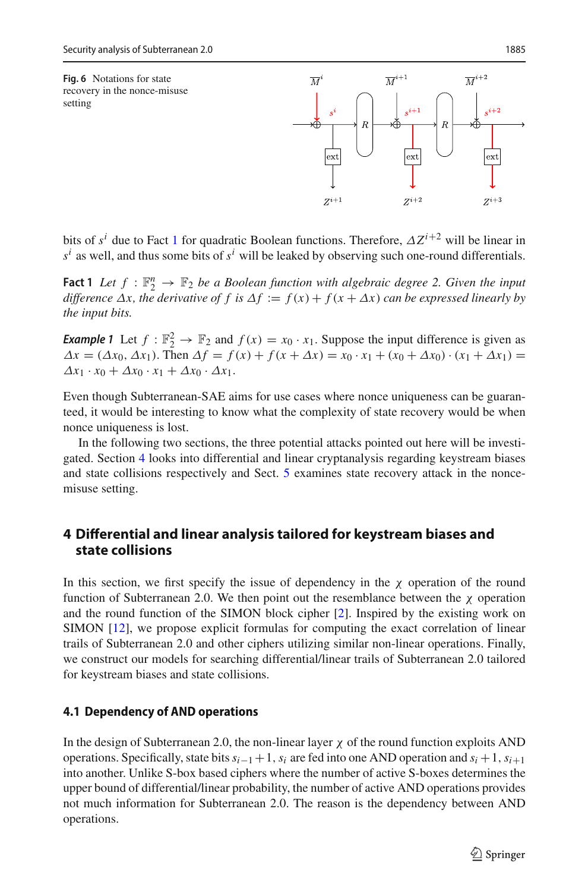$\overline{M}^{i+2}$ 

 $Z^{i+3}$ 

 $\overline{M}^{i+1}$ 

 $ex$ 

 $Z^{i+2}$ 

<span id="page-10-1"></span>

<span id="page-10-2"></span>bits of  $s^i$  due to Fact [1](#page-10-2) for quadratic Boolean functions. Therefore,  $\Delta Z^{i+2}$  will be linear in  $s^i$  as well, and thus some bits of  $s^i$  will be leaked by observing such one-round differentials.

 $\overline{M}$ 

ext

 $Z^{i+1}$ 

**Fact 1** *Let*  $f : \mathbb{F}_2^n \to \mathbb{F}_2$  *be a Boolean function with algebraic degree 2. Given the input difference*  $\Delta x$ *, the derivative of f is*  $\Delta f := f(x) + f(x + \Delta x)$  *can be expressed linearly by the input bits.*

*Example 1* Let  $f : \mathbb{F}_2^2 \to \mathbb{F}_2$  and  $f(x) = x_0 \cdot x_1$ . Suppose the input difference is given as  $\Delta x = (\Delta x_0, \Delta x_1)$ . Then  $\Delta f = f(x) + f(x + \Delta x) = x_0 \cdot x_1 + (x_0 + \Delta x_0) \cdot (x_1 + \Delta x_1) =$  $\Delta x_1 \cdot x_0 + \Delta x_0 \cdot x_1 + \Delta x_0 \cdot \Delta x_1$ .

Even though Subterranean-SAE aims for use cases where nonce uniqueness can be guaranteed, it would be interesting to know what the complexity of state recovery would be when nonce uniqueness is lost.

In the following two sections, the three potential attacks pointed out here will be investigated. Section [4](#page-10-0) looks into differential and linear cryptanalysis regarding keystream biases and state collisions respectively and Sect. [5](#page-17-0) examines state recovery attack in the noncemisuse setting.

## <span id="page-10-0"></span>**4 Differential and linear analysis tailored for keystream biases and state collisions**

In this section, we first specify the issue of dependency in the  $\chi$  operation of the round function of Subterranean 2.0. We then point out the resemblance between the  $\chi$  operation and the round function of the SIMON block cipher [\[2\]](#page-28-2). Inspired by the existing work on SIMON [\[12\]](#page-29-5), we propose explicit formulas for computing the exact correlation of linear trails of Subterranean 2.0 and other ciphers utilizing similar non-linear operations. Finally, we construct our models for searching differential/linear trails of Subterranean 2.0 tailored for keystream biases and state collisions.

#### **4.1 Dependency of AND operations**

In the design of Subterranean 2.0, the non-linear layer  $\chi$  of the round function exploits AND operations. Specifically, state bits*si*−1+1,*si* are fed into one AND operation and *si* +1,*si*+<sup>1</sup> into another. Unlike S-box based ciphers where the number of active S-boxes determines the upper bound of differential/linear probability, the number of active AND operations provides not much information for Subterranean 2.0. The reason is the dependency between AND operations.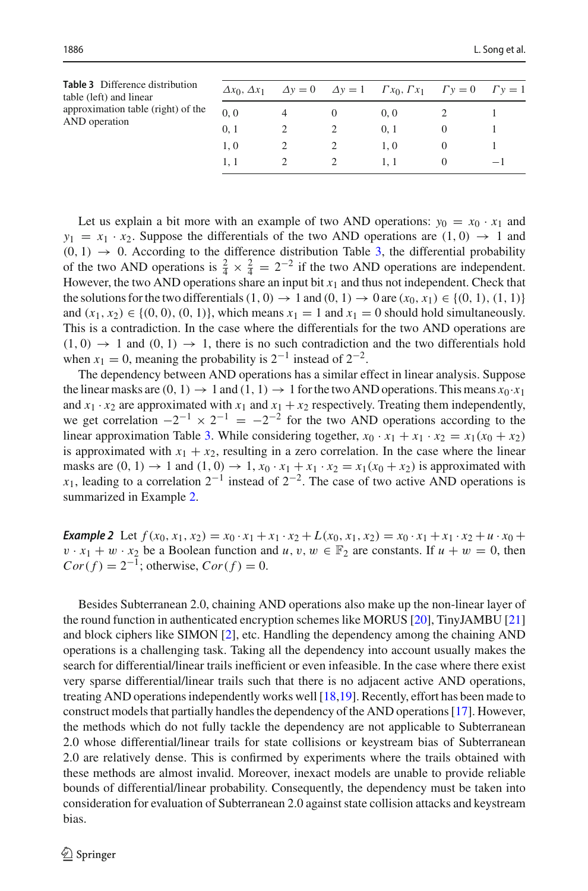<span id="page-11-0"></span>

| (0, 0) |                                                                                      |
|--------|--------------------------------------------------------------------------------------|
| 0, 1   |                                                                                      |
| 1.0    |                                                                                      |
|        | $-1$                                                                                 |
|        | $\Delta y = 0$ $\Delta y = 1$ $\Gamma x_0, \Gamma x_1$ $\Gamma y = 0$ $\Gamma y = 1$ |

Let us explain a bit more with an example of two AND operations:  $y_0 = x_0 \cdot x_1$  and  $y_1 = x_1 \cdot x_2$ . Suppose the differentials of the two AND operations are  $(1, 0) \rightarrow 1$  and  $(0, 1) \rightarrow 0$ . According to the difference distribution Table [3,](#page-11-0) the differential probability of the two AND operations is  $\frac{2}{4} \times \frac{2}{4} = 2^{-2}$  if the two AND operations are independent. However, the two AND operations share an input bit  $x_1$  and thus not independent. Check that the solutions for the two differentials  $(1, 0) \rightarrow 1$  and  $(0, 1) \rightarrow 0$  are  $(x_0, x_1) \in \{(0, 1), (1, 1)\}\$ and  $(x_1, x_2) \in \{(0, 0), (0, 1)\}$ , which means  $x_1 = 1$  and  $x_1 = 0$  should hold simultaneously. This is a contradiction. In the case where the differentials for the two AND operations are  $(1, 0) \rightarrow 1$  and  $(0, 1) \rightarrow 1$ , there is no such contradiction and the two differentials hold when  $x_1 = 0$ , meaning the probability is  $2^{-1}$  instead of  $2^{-2}$ .

The dependency between AND operations has a similar effect in linear analysis. Suppose the linear masks are  $(0, 1) \rightarrow 1$  and  $(1, 1) \rightarrow 1$  for the two AND operations. This means  $x_0 \cdot x_1$ and  $x_1 \cdot x_2$  are approximated with  $x_1$  and  $x_1 + x_2$  respectively. Treating them independently, we get correlation  $-2^{-1} \times 2^{-1} = -2^{-2}$  for the two AND operations according to the linear approximation Table [3.](#page-11-0) While considering together,  $x_0 \cdot x_1 + x_1 \cdot x_2 = x_1(x_0 + x_2)$ is approximated with  $x_1 + x_2$ , resulting in a zero correlation. In the case where the linear masks are  $(0, 1) \rightarrow 1$  and  $(1, 0) \rightarrow 1$ ,  $x_0 \cdot x_1 + x_1 \cdot x_2 = x_1(x_0 + x_2)$  is approximated with *x*<sub>1</sub>, leading to a correlation  $2^{-1}$  instead of  $2^{-2}$ . The case of two active AND operations is summarized in Example [2.](#page-11-1)

<span id="page-11-1"></span>**Example 2** Let  $f(x_0, x_1, x_2) = x_0 \cdot x_1 + x_1 \cdot x_2 + L(x_0, x_1, x_2) = x_0 \cdot x_1 + x_1 \cdot x_2 + u \cdot x_0 +$  $v \cdot x_1 + w \cdot x_2$  be a Boolean function and  $u, v, w \in \mathbb{F}_2$  are constants. If  $u + w = 0$ , then  $Cor(f) = 2^{-1}$ ; otherwise,  $Cor(f) = 0$ .

Besides Subterranean 2.0, chaining AND operations also make up the non-linear layer of the round function in authenticated encryption schemes like MORUS [\[20](#page-29-12)], TinyJAMBU [\[21\]](#page-29-13) and block ciphers like SIMON [\[2](#page-28-2)], etc. Handling the dependency among the chaining AND operations is a challenging task. Taking all the dependency into account usually makes the search for differential/linear trails inefficient or even infeasible. In the case where there exist very sparse differential/linear trails such that there is no adjacent active AND operations, treating AND operations independently works well [\[18](#page-29-7)[,19](#page-29-14)]. Recently, effort has been made to construct models that partially handles the dependency of the AND operations [\[17\]](#page-29-15). However, the methods which do not fully tackle the dependency are not applicable to Subterranean 2.0 whose differential/linear trails for state collisions or keystream bias of Subterranean 2.0 are relatively dense. This is confirmed by experiments where the trails obtained with these methods are almost invalid. Moreover, inexact models are unable to provide reliable bounds of differential/linear probability. Consequently, the dependency must be taken into consideration for evaluation of Subterranean 2.0 against state collision attacks and keystream bias.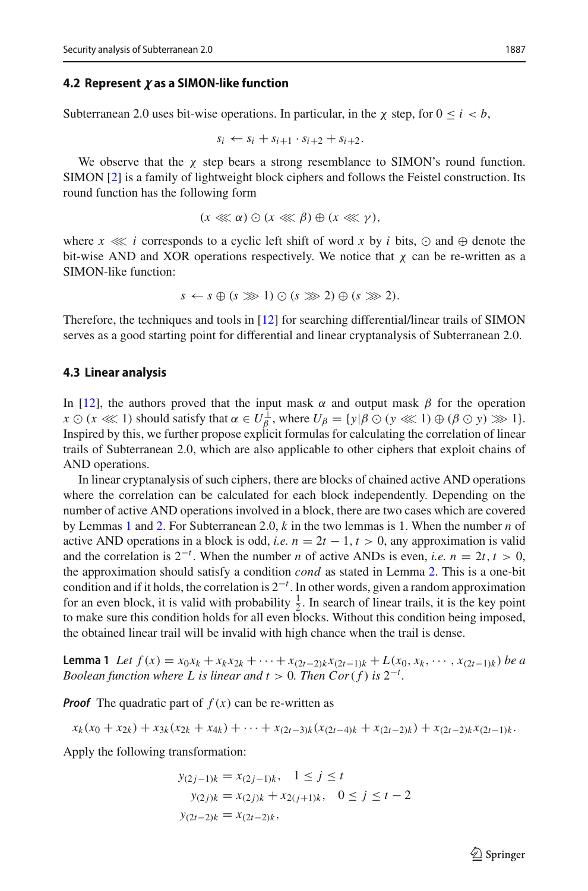### **4.2** Represent  $\pmb{\chi}$  as a SIMON-like function

Subterranean 2.0 uses bit-wise operations. In particular, in the  $\chi$  step, for  $0 \le i < b$ ,

$$
s_i \leftarrow s_i + s_{i+1} \cdot s_{i+2} + s_{i+2}.
$$

We observe that the  $\chi$  step bears a strong resemblance to SIMON's round function. SIMON [\[2\]](#page-28-2) is a family of lightweight block ciphers and follows the Feistel construction. Its round function has the following form

$$
(x\lll \alpha)\odot (x\lll \beta)\oplus (x\lll \gamma),
$$

where  $x \ll i$  corresponds to a cyclic left shift of word x by i bits,  $\odot$  and  $\oplus$  denote the bit-wise AND and XOR operations respectively. We notice that  $\chi$  can be re-written as a SIMON-like function:

$$
s \leftarrow s \oplus (s \ggg 1) \odot (s \ggg 2) \oplus (s \ggg 2).
$$

Therefore, the techniques and tools in [\[12](#page-29-5)] for searching differential/linear trails of SIMON serves as a good starting point for differential and linear cryptanalysis of Subterranean 2.0.

#### **4.3 Linear analysis**

In [\[12\]](#page-29-5), the authors proved that the input mask  $\alpha$  and output mask  $\beta$  for the operation  $x \odot (x \lll 1)$  should satisfy that  $\alpha \in U_{\beta}^{\perp}$ , where  $U_{\beta} = \{y | \beta \odot (y \lll 1) \oplus (\beta \odot y) \ggl 1\}.$ Inspired by this, we further propose explicit formulas for calculating the correlation of linear trails of Subterranean 2.0, which are also applicable to other ciphers that exploit chains of AND operations.

In linear cryptanalysis of such ciphers, there are blocks of chained active AND operations where the correlation can be calculated for each block independently. Depending on the number of active AND operations involved in a block, there are two cases which are covered by Lemmas [1](#page-12-0) and [2.](#page-13-0) For Subterranean 2.0, *k* in the two lemmas is 1. When the number *n* of active AND operations in a block is odd, *i.e.*  $n = 2t - 1$ ,  $t > 0$ , any approximation is valid and the correlation is  $2^{-t}$ . When the number *n* of active ANDs is even, *i.e.*  $n = 2t, t > 0$ , the approximation should satisfy a condition *cond* as stated in Lemma [2.](#page-13-0) This is a one-bit condition and if it holds, the correlation is 2−*<sup>t</sup>* . In other words, given a random approximation for an even block, it is valid with probability  $\frac{1}{2}$ . In search of linear trails, it is the key point to make sure this condition holds for all even blocks. Without this condition being imposed, the obtained linear trail will be invalid with high chance when the trail is dense.

<span id="page-12-0"></span>**Lemma 1** Let  $f(x) = x_0x_k + x_kx_{2k} + \cdots + x_{(2t-2)k}x_{(2t-1)k} + L(x_0, x_k, \cdots, x_{(2t-1)k})$  be a *Boolean function where L is linear and*  $t > 0$ *. Then*  $Cor(f)$  *is*  $2^{-t}$ *.* 

*Proof* The quadratic part of  $f(x)$  can be re-written as

$$
x_k(x_0 + x_{2k}) + x_{3k}(x_{2k} + x_{4k}) + \cdots + x_{(2t-3)k}(x_{(2t-4)k} + x_{(2t-2)k}) + x_{(2t-2)k}x_{(2t-1)k}.
$$

Apply the following transformation:

$$
y_{(2j-1)k} = x_{(2j-1)k}, \quad 1 \le j \le t
$$
  

$$
y_{(2j)k} = x_{(2j)k} + x_{2(j+1)k}, \quad 0 \le j \le t-2
$$
  

$$
y_{(2t-2)k} = x_{(2t-2)k},
$$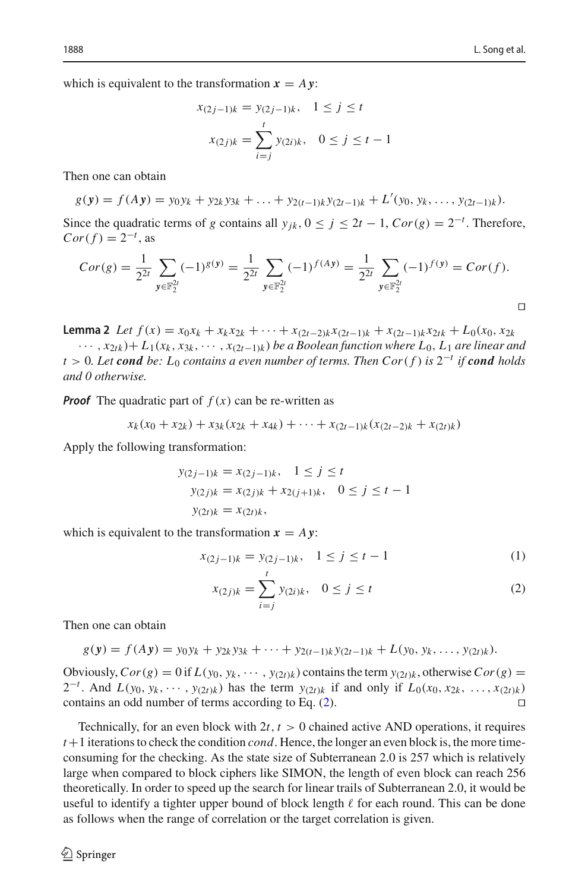which is equivalent to the transformation  $x = A y$ :

$$
x_{(2j-1)k} = y_{(2j-1)k}, \quad 1 \le j \le t
$$

$$
x_{(2j)k} = \sum_{i=j}^{t} y_{(2i)k}, \quad 0 \le j \le t-1
$$

Then one can obtain

$$
g(\mathbf{y}) = f(A\mathbf{y}) = y_0 y_k + y_{2k} y_{3k} + \ldots + y_{2(t-1)k} y_{(2t-1)k} + L'(y_0, y_k, \ldots, y_{(2t-1)k}).
$$

Since the quadratic terms of *g* contains all  $y_{jk}$ ,  $0 \le j \le 2t - 1$ ,  $Cor(g) = 2^{-t}$ . Therefore,  $Cor(f) = 2^{-t}$ , as

$$
Cor(g) = \frac{1}{2^{2t}} \sum_{\mathbf{y} \in \mathbb{F}_2^{2t}} (-1)^{g(\mathbf{y})} = \frac{1}{2^{2t}} \sum_{\mathbf{y} \in \mathbb{F}_2^{2t}} (-1)^{f(A\mathbf{y})} = \frac{1}{2^{2t}} \sum_{\mathbf{y} \in \mathbb{F}_2^{2t}} (-1)^{f(\mathbf{y})} = Cor(f).
$$

<span id="page-13-0"></span>**Lemma 2** Let  $f(x) = x_0x_k + x_kx_{2k} + \cdots + x_{(2t-2)k}x_{(2t-1)k} + x_{(2t-1)k}x_{2tk} + L_0(x_0, x_{2k})$ ··· , *x*2*tk* )+ *L*1(*xk* , *x*3*<sup>k</sup>* , ··· , *x*(2*t*−1)*<sup>k</sup>* ) *be a Boolean function where L*0, *L*<sup>1</sup> *are linear and*  $t > 0$ *. Let* **cond** be:  $L_0$  contains a even number of terms. Then Cor(f) is  $2^{-t}$  *if* **cond** holds *and 0 otherwise.*

*Proof* The quadratic part of  $f(x)$  can be re-written as

$$
x_k(x_0 + x_{2k}) + x_{3k}(x_{2k} + x_{4k}) + \cdots + x_{(2t-1)k}(x_{(2t-2)k} + x_{(2t)k})
$$

Apply the following transformation:

$$
y_{(2j-1)k} = x_{(2j-1)k}, \quad 1 \le j \le t
$$
  

$$
y_{(2j)k} = x_{(2j)k} + x_{2(j+1)k}, \quad 0 \le j \le t-1
$$
  

$$
y_{(2t)k} = x_{(2t)k},
$$

which is equivalent to the transformation  $x = Ay$ :

$$
x_{(2j-1)k} = y_{(2j-1)k}, \quad 1 \le j \le t-1 \tag{1}
$$

<span id="page-13-1"></span>
$$
x_{(2j)k} = \sum_{i=j}^{t} y_{(2i)k}, \quad 0 \le j \le t
$$
 (2)

Then one can obtain

$$
g(\mathbf{y}) = f(A\mathbf{y}) = y_0 y_k + y_{2k} y_{3k} + \cdots + y_{2(t-1)k} y_{(2t-1)k} + L(y_0, y_k, \ldots, y_{(2t)k}).
$$

Obviously,  $Cor(g) = 0$  if  $L(y_0, y_k, \dots, y_{(2t)k})$  contains the term  $y_{(2t)k}$ , otherwise  $Cor(g)$  = 2<sup>−*t*</sup>. And *L*(*y*<sub>0</sub>, *y<sub>k</sub>*, ···, *y*<sub>(2*t*)</sub>*k*) has the term *y*<sub>(2*t*)*k*</sub> if and only if *L*<sub>0</sub>(*x*<sub>0</sub>, *x*<sub>2*k*</sub>, ..., *x*<sub>(2*t*)*k*</sub>) contains an odd number of terms according to Eq. [\(2\)](#page-13-1).

Technically, for an even block with  $2t$ ,  $t > 0$  chained active AND operations, it requires *t*+1 iterations to check the condition *cond*. Hence, the longer an even block is, the more timeconsuming for the checking. As the state size of Subterranean 2.0 is 257 which is relatively large when compared to block ciphers like SIMON, the length of even block can reach 256 theoretically. In order to speed up the search for linear trails of Subterranean 2.0, it would be useful to identify a tighter upper bound of block length  $\ell$  for each round. This can be done as follows when the range of correlation or the target correlation is given.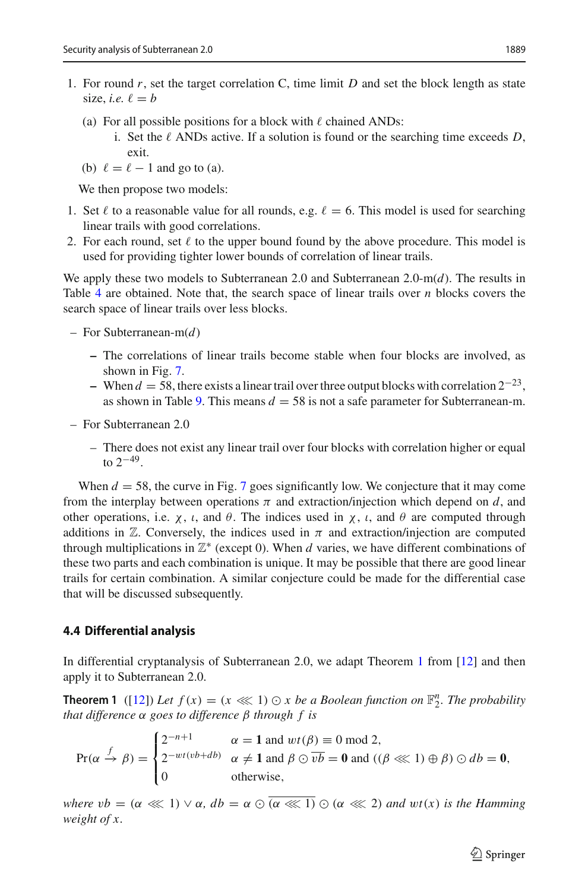- 1. For round *r*, set the target correlation C, time limit *D* and set the block length as state size, *i.e.*  $\ell = b$ 
	- (a) For all possible positions for a block with  $\ell$  chained ANDs:
		- i. Set the  $\ell$  ANDs active. If a solution is found or the searching time exceeds D, exit.
	- (b)  $\ell = \ell 1$  and go to (a).

We then propose two models:

- 1. Set  $\ell$  to a reasonable value for all rounds, e.g.  $\ell = 6$ . This model is used for searching linear trails with good correlations.
- 2. For each round, set  $\ell$  to the upper bound found by the above procedure. This model is used for providing tighter lower bounds of correlation of linear trails.

We apply these two models to Subterranean 2.0 and Subterranean 2.0-m(*d*). The results in Table [4](#page-15-0) are obtained. Note that, the search space of linear trails over *n* blocks covers the search space of linear trails over less blocks.

- For Subterranean-m(*d*)
	- **–** The correlations of linear trails become stable when four blocks are involved, as shown in Fig. [7.](#page-24-0)
	- **–** When *<sup>d</sup>* <sup>=</sup> 58, there exists a linear trail over three output blocks with correlation 2−23, as shown in Table [9.](#page-26-0) This means  $d = 58$  is not a safe parameter for Subterranean-m.
- For Subterranean 2.0
	- There does not exist any linear trail over four blocks with correlation higher or equal to  $2^{-49}$ .

When  $d = 58$ , the curve in Fig. [7](#page-24-0) goes significantly low. We conjecture that it may come from the interplay between operations  $\pi$  and extraction/injection which depend on  $d$ , and other operations, i.e.  $\chi$ ,  $\iota$ , and  $\theta$ . The indices used in  $\chi$ ,  $\iota$ , and  $\theta$  are computed through additions in  $\mathbb Z$ . Conversely, the indices used in  $\pi$  and extraction/injection are computed through multiplications in  $\mathbb{Z}^*$  (except 0). When *d* varies, we have different combinations of these two parts and each combination is unique. It may be possible that there are good linear trails for certain combination. A similar conjecture could be made for the differential case that will be discussed subsequently.

#### **4.4 Differential analysis**

<span id="page-14-0"></span>In differential cryptanalysis of Subterranean 2.0, we adapt Theorem [1](#page-14-0) from [\[12\]](#page-29-5) and then apply it to Subterranean 2.0.

**Theorem 1** ([\[12\]](#page-29-5)) Let  $f(x) = (x \ll 1) \odot x$  be a Boolean function on  $\mathbb{F}_2^n$ . The probability *that difference* α *goes to difference* β *through f is*

$$
\Pr(\alpha \stackrel{f}{\to} \beta) = \begin{cases} 2^{-n+1} & \alpha = 1 \text{ and } wt(\beta) \equiv 0 \text{ mod } 2, \\ 2^{-wt(vb+db)} & \alpha \neq 1 \text{ and } \beta \odot \overline{vb} = 0 \text{ and } ((\beta \lll 1) \oplus \beta) \odot db = 0, \\ 0 & \text{otherwise,} \end{cases}
$$

*where*  $vb = (\alpha \lll 1) \vee \alpha$ ,  $db = \alpha \odot (\alpha \lll 1) \odot (\alpha \lll 2)$  and  $wt(x)$  is the Hamming *weight of x.*

 $\mathcal{L}$  Springer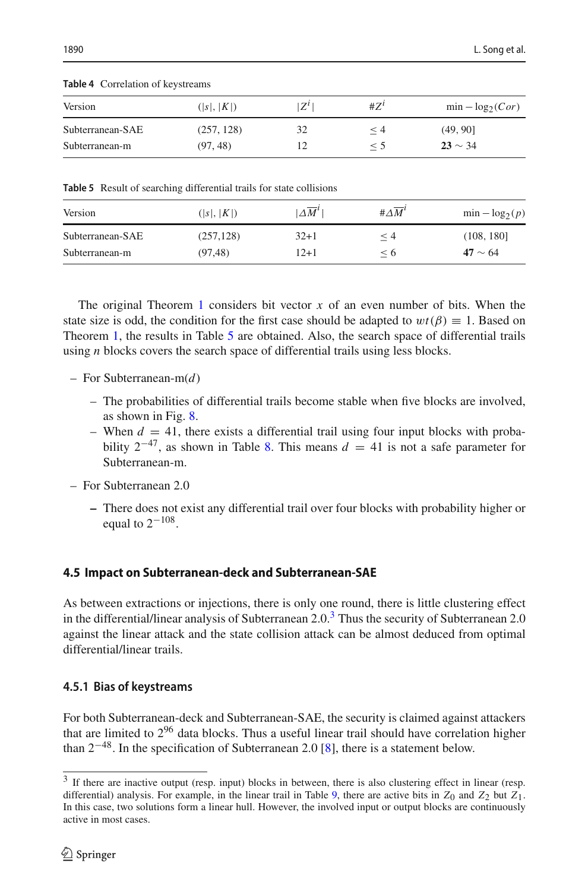| $\mu$ and $\tau$ correlation of Keystreams |            |             |          |                     |
|--------------------------------------------|------------|-------------|----------|---------------------|
| Version                                    | ( s ,  K ) | $Z^{\iota}$ | $#Z^l$   | $\min -\log_2(Cor)$ |
| Subterranean-SAE                           | (257, 128) | 32          | $\leq 4$ | (49, 90]            |
| Subterranean-m                             | (97, 48)   |             | $\leq$ 5 | $23 \sim 34$        |

<span id="page-15-0"></span>**Table 4** Correlation of keystreams

<span id="page-15-1"></span>**Table 5** Result of searching differential trails for state collisions

| Version          | ( s ,  K ) | $\Delta M^t$ | # $\Delta \overline{M}^l$ | $\min - \log_2(p)$ |
|------------------|------------|--------------|---------------------------|--------------------|
| Subterranean-SAE | (257, 128) | $32+1$       | ≤ 4                       | (108, 180]         |
| Subterranean-m   | (97, 48)   | 12+1         | $\leq 0$                  | $47 \sim 64$       |

The original Theorem [1](#page-14-0) considers bit vector  $x$  of an even number of bits. When the state size is odd, the condition for the first case should be adapted to  $wt(\beta) \equiv 1$ . Based on Theorem [1,](#page-14-0) the results in Table [5](#page-15-1) are obtained. Also, the search space of differential trails using *n* blocks covers the search space of differential trails using less blocks.

- For Subterranean-m(*d*)
	- The probabilities of differential trails become stable when five blocks are involved, as shown in Fig. [8.](#page-25-0)
	- When  $d = 41$ , there exists a differential trail using four input blocks with probability  $2^{-47}$ , as shown in Table [8.](#page-26-1) This means  $d = 41$  is not a safe parameter for Subterranean-m.
- For Subterranean 2.0
	- **–** There does not exist any differential trail over four blocks with probability higher or equal to  $2^{-108}$ .

## **4.5 Impact on Subterranean-deck and Subterranean-SAE**

As between extractions or injections, there is only one round, there is little clustering effect in the differential/linear analysis of Subterranean  $2.0<sup>3</sup>$  Thus the security of Subterranean 2.0 against the linear attack and the state collision attack can be almost deduced from optimal differential/linear trails.

## **4.5.1 Bias of keystreams**

For both Subterranean-deck and Subterranean-SAE, the security is claimed against attackers that are limited to  $2^{96}$  data blocks. Thus a useful linear trail should have correlation higher than  $2^{-48}$ . In the specification of Subterranean 2.0 [\[8\]](#page-29-1), there is a statement below.

<span id="page-15-2"></span><sup>&</sup>lt;sup>3</sup> If there are inactive output (resp. input) blocks in between, there is also clustering effect in linear (resp. differential) analysis. For example, in the linear trail in Table [9,](#page-26-0) there are active bits in  $Z_0$  and  $Z_2$  but  $Z_1$ . In this case, two solutions form a linear hull. However, the involved input or output blocks are continuously active in most cases.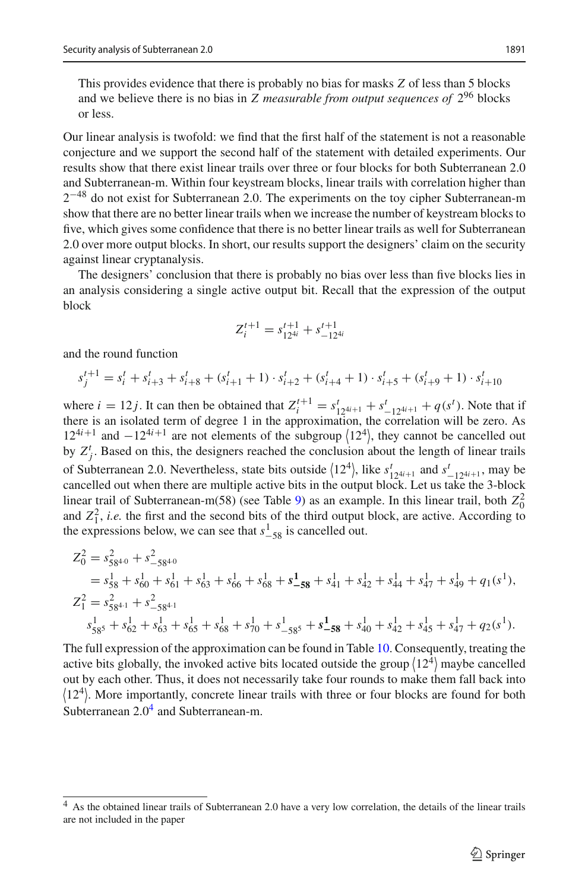This provides evidence that there is probably no bias for masks *Z* of less than 5 blocks and we believe there is no bias in *Z measurable from output sequences of* 2<sup>96</sup> blocks or less.

Our linear analysis is twofold: we find that the first half of the statement is not a reasonable conjecture and we support the second half of the statement with detailed experiments. Our results show that there exist linear trails over three or four blocks for both Subterranean 2.0 and Subterranean-m. Within four keystream blocks, linear trails with correlation higher than 2−<sup>48</sup> do not exist for Subterranean 2.0. The experiments on the toy cipher Subterranean-m show that there are no better linear trails when we increase the number of keystream blocks to five, which gives some confidence that there is no better linear trails as well for Subterranean 2.0 over more output blocks. In short, our results support the designers' claim on the security against linear cryptanalysis.

The designers' conclusion that there is probably no bias over less than five blocks lies in an analysis considering a single active output bit. Recall that the expression of the output block

$$
Z_i^{t+1} = s_{12^{4i}}^{t+1} + s_{-12^{4i}}^{t+1}
$$

and the round function

$$
s_j^{t+1} = s_i^t + s_{i+3}^t + s_{i+8}^t + (s_{i+1}^t + 1) \cdot s_{i+2}^t + (s_{i+4}^t + 1) \cdot s_{i+5}^t + (s_{i+9}^t + 1) \cdot s_{i+10}^t
$$

where  $i = 12j$ . It can then be obtained that  $Z_i^{t+1} = s_{12^{4i+1}}^t + s_{-12^{4i+1}}^t + q(s^t)$ . Note that if there is an isolated term of degree 1 in the approximation, the correlation will be zero. As  $12^{4i+1}$  and  $-12^{4i+1}$  are not elements of the subgroup  $\langle 12^4 \rangle$ , they cannot be cancelled out by  $Z_f^t$ . Based on this, the designers reached the conclusion about the length of linear trails of Subterranean 2.0. Nevertheless, state bits outside  $\langle 12^4 \rangle$ , like  $s^t_{12^{4i+1}}$  and  $s^t_{-12^{4i+1}}$ , may be cancelled out when there are multiple estive hits in the output block. Let us take the 3 block cancelled out when there are multiple active bits in the output block. Let us take the 3-block linear trail of Subterranean-m(58) (see Table [9\)](#page-26-0) as an example. In this linear trail, both  $Z_0^2$ and  $Z_1^2$ , *i.e.* the first and the second bits of the third output block, are active. According to the expressions below, we can see that  $s_{-58}^1$  is cancelled out.

$$
Z_0^2 = s_{58^{4\cdot 0}}^2 + s_{-58^{4\cdot 0}}^2
$$
  
=  $s_{58}^1 + s_{60}^1 + s_{61}^1 + s_{63}^1 + s_{66}^1 + s_{68}^1 + s_{-58}^1 + s_{41}^1 + s_{42}^1 + s_{44}^1 + s_{47}^1 + s_{49}^1 + q_1(s^1)$ ,  

$$
Z_1^2 = s_{58^{4\cdot 1}}^2 + s_{-58^{4\cdot 1}}^2
$$
  

$$
s_{58^5}^1 + s_{62}^1 + s_{63}^1 + s_{65}^1 + s_{68}^1 + s_{70}^1 + s_{-58^5}^1 + s_{-58}^1 + s_{40}^1 + s_{42}^1 + s_{45}^1 + s_{47}^1 + q_2(s^1)
$$
.

The full expression of the approximation can be found in Table [10.](#page-27-0) Consequently, treating the active bits globally, the invoked active bits located outside the group  $(12^4)$  maybe cancelled out by each other. Thus, it does not necessarily take four rounds to make them fall back into  $\langle 12^4 \rangle$ . More importantly, concrete linear trails with three or four blocks are found for both Subterranean  $2.0<sup>4</sup>$  and Subterranean-m.

<span id="page-16-0"></span><sup>4</sup> As the obtained linear trails of Subterranean 2.0 have a very low correlation, the details of the linear trails are not included in the paper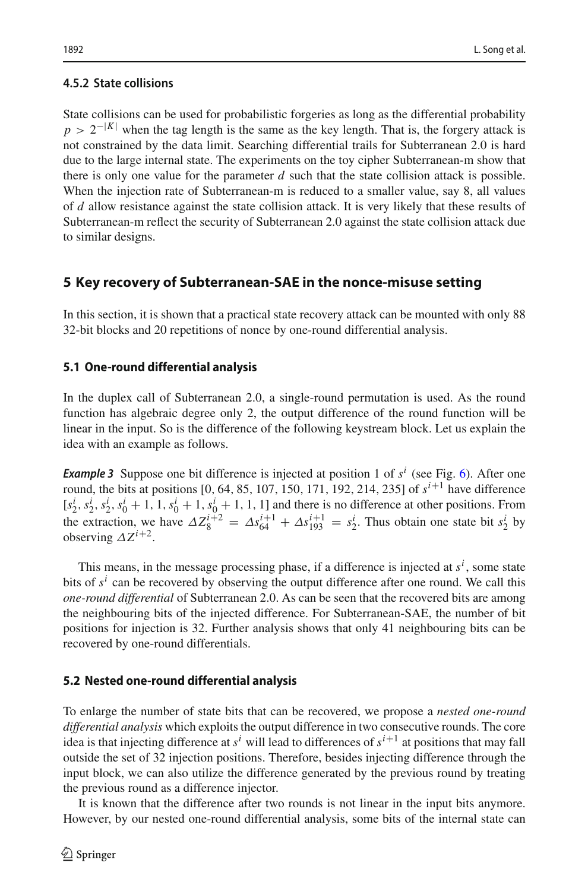### **4.5.2 State collisions**

State collisions can be used for probabilistic forgeries as long as the differential probability  $p > 2^{-|K|}$  when the tag length is the same as the key length. That is, the forgery attack is not constrained by the data limit. Searching differential trails for Subterranean 2.0 is hard due to the large internal state. The experiments on the toy cipher Subterranean-m show that there is only one value for the parameter  $d$  such that the state collision attack is possible. When the injection rate of Subterranean-m is reduced to a smaller value, say 8, all values of *d* allow resistance against the state collision attack. It is very likely that these results of Subterranean-m reflect the security of Subterranean 2.0 against the state collision attack due to similar designs.

## <span id="page-17-0"></span>**5 Key recovery of Subterranean-SAE in the nonce-misuse setting**

In this section, it is shown that a practical state recovery attack can be mounted with only 88 32-bit blocks and 20 repetitions of nonce by one-round differential analysis.

## **5.1 One-round differential analysis**

In the duplex call of Subterranean 2.0, a single-round permutation is used. As the round function has algebraic degree only 2, the output difference of the round function will be linear in the input. So is the difference of the following keystream block. Let us explain the idea with an example as follows.

<span id="page-17-1"></span>**Example 3** Suppose one bit difference is injected at position 1 of  $s^i$  (see Fig. [6\)](#page-10-1). After one round, the bits at positions  $[0, 64, 85, 107, 150, 171, 192, 214, 235]$  of  $s^{i+1}$  have difference  $[s_2^i, s_2^i, s_2^i, s_0^i + 1, 1, s_0^i + 1, s_0^i + 1, 1, 1]$  and there is no difference at other positions. From the extraction, we have  $\Delta Z_8^{i+2} = \Delta s_{64}^{i+1} + \Delta s_{193}^{i+1} = s_2^i$ . Thus obtain one state bit  $s_2^i$  by observing  $\Delta Z^{i+2}$ .

This means, in the message processing phase, if a difference is injected at  $s^i$ , some state bits of  $s^i$  can be recovered by observing the output difference after one round. We call this *one-round differential* of Subterranean 2.0. As can be seen that the recovered bits are among the neighbouring bits of the injected difference. For Subterranean-SAE, the number of bit positions for injection is 32. Further analysis shows that only 41 neighbouring bits can be recovered by one-round differentials.

## **5.2 Nested one-round differential analysis**

To enlarge the number of state bits that can be recovered, we propose a *nested one-round differential analysis* which exploits the output difference in two consecutive rounds. The core idea is that injecting difference at  $s^i$  will lead to differences of  $s^{i+1}$  at positions that may fall outside the set of 32 injection positions. Therefore, besides injecting difference through the input block, we can also utilize the difference generated by the previous round by treating the previous round as a difference injector.

It is known that the difference after two rounds is not linear in the input bits anymore. However, by our nested one-round differential analysis, some bits of the internal state can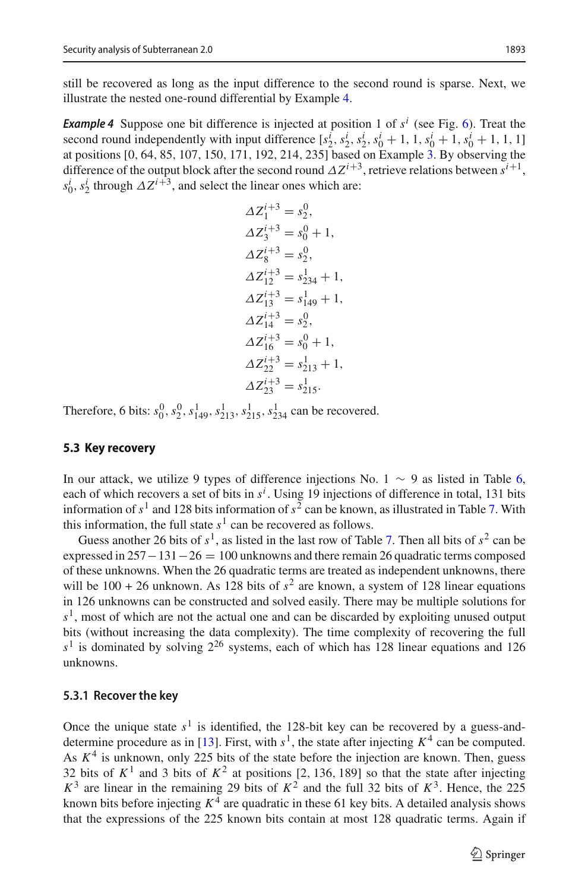<span id="page-18-0"></span>still be recovered as long as the input difference to the second round is sparse. Next, we illustrate the nested one-round differential by Example [4.](#page-18-0)

**Example 4** Suppose one bit difference is injected at position 1 of  $s^i$  (see Fig. [6\)](#page-10-1). Treat the second round independently with input difference  $[s_2^i, s_2^i, s_2^i, s_0^i + 1, 1, s_0^i + 1, s_0^i + 1, 1, 1]$ at positions [0, 64, 85, 107, 150, 171, 192, 214, 235] based on Example [3.](#page-17-1) By observing the difference of the output block after the second round  $\Delta Z^{i+3}$ , retrieve relations between  $s^{i+1}$ ,  $s_0^i$ ,  $s_2^i$  through  $\Delta Z^{i+3}$ , and select the linear ones which are:

$$
\begin{aligned} \Delta Z_1^{i+3} &= s_2^0, \\ \Delta Z_3^{i+3} &= s_0^0 + 1, \\ \Delta Z_8^{i+3} &= s_2^0, \\ \Delta Z_{12}^{i+3} &= s_{234}^1 + 1, \\ \Delta Z_{13}^{i+3} &= s_{149}^1 + 1, \\ \Delta Z_{16}^{i+3} &= s_0^0 + 1, \\ \Delta Z_{22}^{i+3} &= s_{213}^1 + 1, \\ \Delta Z_{23}^{i+3} &= s_{215}^1. \end{aligned}
$$

Therefore, 6 bits:  $s_0^0$ ,  $s_2^0$ ,  $s_{149}^1$ ,  $s_{213}^1$ ,  $s_{215}^1$ ,  $s_{234}^1$  can be recovered.

#### **5.3 Key recovery**

In our attack, we utilize 9 types of difference injections No. 1  $\sim$  9 as listed in Table [6,](#page-19-0) each of which recovers a set of bits in *s<sup>i</sup>* . Using 19 injections of difference in total, 131 bits information of  $s<sup>1</sup>$  and 128 bits information of  $s<sup>2</sup>$  can be known, as illustrated in Table [7.](#page-20-0) With this information, the full state  $s<sup>1</sup>$  can be recovered as follows.

Guess another 26 bits of  $s^1$ , as listed in the last row of Table [7.](#page-20-0) Then all bits of  $s^2$  can be expressed in  $257-131-26 = 100$  unknowns and there remain 26 quadratic terms composed of these unknowns. When the 26 quadratic terms are treated as independent unknowns, there will be  $100 + 26$  unknown. As 128 bits of  $s^2$  are known, a system of 128 linear equations in 126 unknowns can be constructed and solved easily. There may be multiple solutions for  $s<sup>1</sup>$ , most of which are not the actual one and can be discarded by exploiting unused output bits (without increasing the data complexity). The time complexity of recovering the full  $s<sup>1</sup>$  is dominated by solving  $2<sup>26</sup>$  systems, each of which has 128 linear equations and 126 unknowns.

#### **5.3.1 Recover the key**

Once the unique state  $s^1$  is identified, the 128-bit key can be recovered by a guess-and-determine procedure as in [\[13](#page-29-4)]. First, with  $s^1$ , the state after injecting  $K^4$  can be computed. As  $K<sup>4</sup>$  is unknown, only 225 bits of the state before the injection are known. Then, guess 32 bits of  $K^1$  and 3 bits of  $K^2$  at positions [2, 136, 189] so that the state after injecting  $K^3$  are linear in the remaining 29 bits of  $K^2$  and the full 32 bits of  $K^3$ . Hence, the 225 known bits before injecting  $K^4$  are quadratic in these 61 key bits. A detailed analysis shows that the expressions of the 225 known bits contain at most 128 quadratic terms. Again if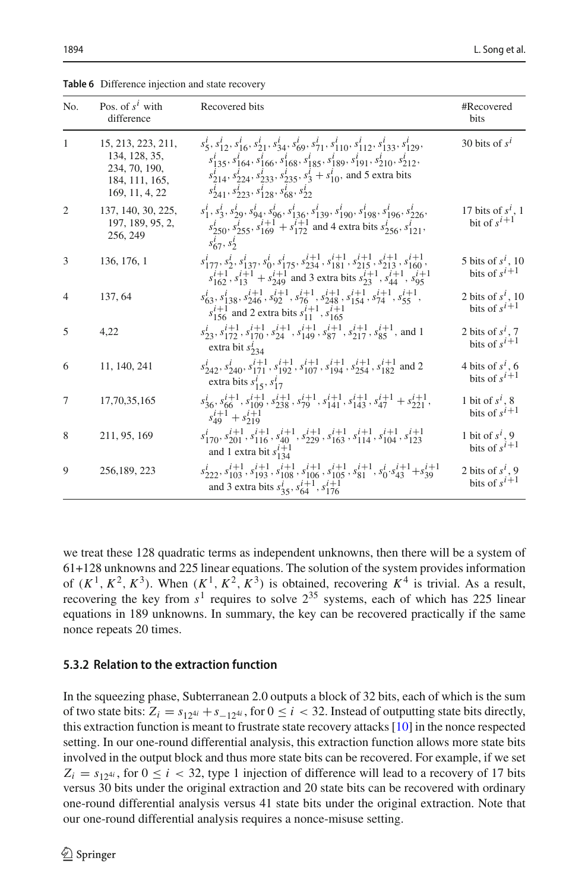| No.            | Pos. of $s^l$ with<br>difference                                                         | Recovered bits                                                                                                                                                                                                                                                                                                                                                                                                                                         | #Recovered<br>bits                        |
|----------------|------------------------------------------------------------------------------------------|--------------------------------------------------------------------------------------------------------------------------------------------------------------------------------------------------------------------------------------------------------------------------------------------------------------------------------------------------------------------------------------------------------------------------------------------------------|-------------------------------------------|
| $\mathbf{1}$   | 15, 213, 223, 211,<br>134, 128, 35,<br>234, 70, 190,<br>184, 111, 165,<br>169, 11, 4, 22 | $s_5^i$ , $s_{12}^i$ , $s_{16}^i$ , $s_{21}^i$ , $s_{34}^i$ , $s_{69}^i$ , $s_{71}^i$ , $s_{110}^i$ , $s_{112}^i$ , $s_{133}^i$ , $s_{129}^i$ ,<br>$s_{135}^i$ , $s_{164}^i$ , $s_{166}^i$ , $s_{168}^i$ , $s_{185}^i$ , $s_{189}^i$ , $s_{191}^i$ , $s_{210}^i$ , $s_{212}^i$ ,<br>$s_{214}^i$ , $s_{224}^i$ , $s_{233}^i$ , $s_{235}^i$ , $s_3^i + s_{10}^i$ , and 5 extra bits<br>$s_{241}^l$ , $s_{223}^l$ , $s_{128}^l$ , $s_{68}^l$ , $s_{22}^l$ | 30 bits of $s^i$                          |
| $\overline{2}$ | 137, 140, 30, 225,<br>197, 189, 95, 2,<br>256, 249                                       | $s_1^i$ , $s_3^i$ , $s_{29}^i$ , $s_{94}^i$ , $s_{96}^i$ , $s_{136}^i$ , $s_{139}^i$ , $s_{190}^i$ , $s_{198}^i$ , $s_{196}^i$ , $s_{226}^i$ ,<br>$s_{250}^i$ , $s_{255}^i$ , $s_{169}^{i+1}$ + $s_{172}^{i+1}$ and 4 extra bits $s_{256}^i$ , $s_{121}^i$ ,<br>$s_{67}^l, s_2^l$                                                                                                                                                                      | 17 bits of $s^i$ , 1<br>bit of $s^{i+1}$  |
| 3              | 136, 176, 1                                                                              | $s_{177}^i$ , $s_2^i$ , $s_{137}^i$ , $s_0^i$ , $s_{175}^i$ , $s_{234}^{i+1}$ , $s_{181}^{i+1}$ , $s_{215}^{i+1}$ , $s_{213}^{i+1}$ , $s_{160}^{i+1}$ ,<br>$s_{162}^{i+1}, s_{13}^{i+1} + s_{249}^{i+1}$ and 3 extra bits $s_{23}^{i+1}, s_{44}^{i+1}, s_{95}^{i+1}$                                                                                                                                                                                   | 5 bits of $s^i$ , 10<br>bits of $s^{i+1}$ |
| 4              | 137, 64                                                                                  | $s^i_{63},s^i_{138},s^{i+1}_{246},s^{i+1}_{92},s^{i+1}_{76},s^{i+1}_{248},s^{i+1}_{154},s^{i+1}_{74},s^{i+1}_{55},$<br>$s_{156}^{i+1}$ and 2 extra bits $s_{11}^{i+1}$ , $s_{165}^{i+1}$                                                                                                                                                                                                                                                               | 2 bits of $s^i$ , 10<br>bits of $s^{i+1}$ |
| 5              | 4,22                                                                                     | $s_{23}^i$ , $s_{172}^{i+1}$ , $s_{170}^{i+1}$ , $s_{24}^{i+1}$ , $s_{149}^{i+1}$ , $s_{87}^{i+1}$ , $s_{217}^{i+1}$ , $s_{85}^{i+1}$ , and 1<br>extra bit $s_{234}^l$                                                                                                                                                                                                                                                                                 | 2 bits of $s^1$ , 7<br>bits of $s^{i+1}$  |
| 6              | 11, 140, 241                                                                             | $s_{242}^i$ , $s_{240}^i$ , $s_{171}^{i+1}$ , $s_{192}^{i+1}$ , $s_{107}^{i+1}$ , $s_{194}^{i+1}$ , $s_{254}^{i+1}$ , $s_{182}^{i+1}$ and 2<br>extra bits $s_1^i$ , $s_1^i$                                                                                                                                                                                                                                                                            | 4 bits of $s^1$ , 6<br>bits of $s^{i+1}$  |
| 7              | 17,70,35,165                                                                             | $s_{36}^i$ , $s_{66}^{i+1}$ , $s_{109}^{i+1}$ , $s_{238}^{i+1}$ , $s_{79}^{i+1}$ , $s_{141}^{i+1}$ , $s_{143}^{i+1}$ , $s_{47}^{i+1}$ + $s_{221}^{i+1}$ ,<br>$s_{49}^{i+1} + s_{219}^{i+1}$                                                                                                                                                                                                                                                            | 1 bit of $s^i$ , 8<br>bits of $s^{i+1}$   |
| 8              | 211, 95, 169                                                                             | $s_{170}^i$ , $s_{201}^{i+1}$ , $s_{116}^{i+1}$ , $s_{40}^{i+1}$ , $s_{229}^{i+1}$ , $s_{163}^{i+1}$ , $s_{114}^{i+1}$ , $s_{104}^{i+1}$ , $s_{123}^{i+1}$<br>and 1 extra bit $s_{134}^{i+1}$                                                                                                                                                                                                                                                          | 1 bit of $s^i$ , 9<br>bits of $s^{i+1}$   |
| 9              | 256,189, 223                                                                             | $s_{222}^i$ , $s_{103}^{i+1}$ , $s_{193}^{i+1}$ , $s_{108}^{i+1}$ , $s_{106}^{i+1}$ , $s_{105}^{i+1}$ , $s_{81}^{i+1}$ , $s_0^i$ , $s_{43}^{i+1}$ + $s_{39}^{i+1}$<br>and 3 extra bits $s_3^i$ , $s_{64}^{i+1}$ , $s_{176}^{i+1}$                                                                                                                                                                                                                      | 2 bits of $s^i$ , 9<br>bits of $s^{i+1}$  |

<span id="page-19-0"></span>**Table 6** Difference injection and state recovery

we treat these 128 quadratic terms as independent unknowns, then there will be a system of 61+128 unknowns and 225 linear equations. The solution of the system provides information of  $(K^1, K^2, K^3)$ . When  $(K^1, K^2, K^3)$  is obtained, recovering  $K^4$  is trivial. As a result, recovering the key from  $s<sup>1</sup>$  requires to solve  $2<sup>35</sup>$  systems, each of which has 225 linear equations in 189 unknowns. In summary, the key can be recovered practically if the same nonce repeats 20 times.

#### **5.3.2 Relation to the extraction function**

In the squeezing phase, Subterranean 2.0 outputs a block of 32 bits, each of which is the sum of two state bits:  $Z_i = s_{12^{4i}} + s_{-12^{4i}}$ , for  $0 \le i < 32$ . Instead of outputting state bits directly, this extraction function is meant to frustrate state recovery attacks [\[10](#page-29-16)] in the nonce respected setting. In our one-round differential analysis, this extraction function allows more state bits involved in the output block and thus more state bits can be recovered. For example, if we set  $Z_i = s_{124i}$ , for  $0 \le i < 32$ , type 1 injection of difference will lead to a recovery of 17 bits versus 30 bits under the original extraction and 20 state bits can be recovered with ordinary one-round differential analysis versus 41 state bits under the original extraction. Note that our one-round differential analysis requires a nonce-misuse setting.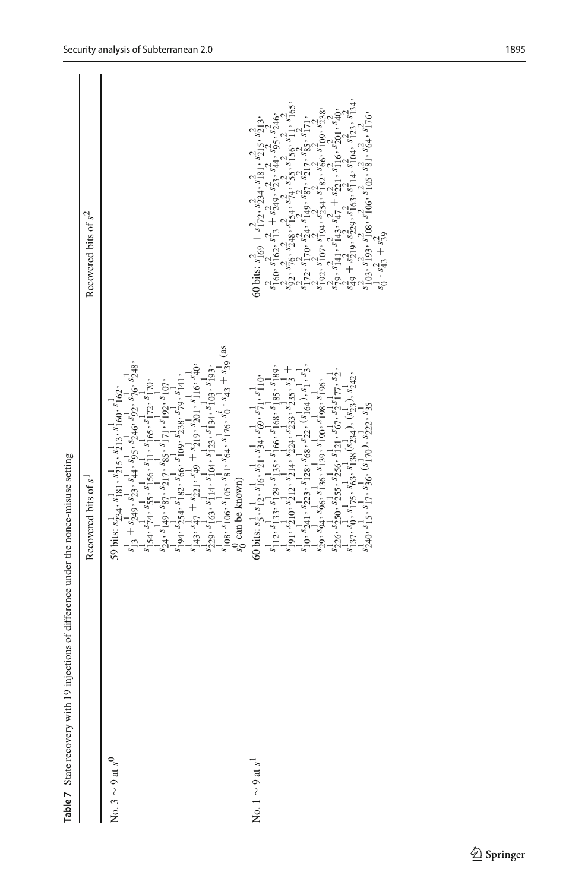| Table 7 State recovery with 19 injections of difference under the nonce-misuse setting |                                                                                                                                                                                                                                                                                                                                                                                                                                        |                                                                                                                                                                                                                                                                                                                                                                                                                                                                                                                                                  |
|----------------------------------------------------------------------------------------|----------------------------------------------------------------------------------------------------------------------------------------------------------------------------------------------------------------------------------------------------------------------------------------------------------------------------------------------------------------------------------------------------------------------------------------|--------------------------------------------------------------------------------------------------------------------------------------------------------------------------------------------------------------------------------------------------------------------------------------------------------------------------------------------------------------------------------------------------------------------------------------------------------------------------------------------------------------------------------------------------|
|                                                                                        | Recovered bits of s <sup>1</sup>                                                                                                                                                                                                                                                                                                                                                                                                       | Recovered bits of $s^2$                                                                                                                                                                                                                                                                                                                                                                                                                                                                                                                          |
| No. $3 \sim 9$ at $s^0$                                                                | $\begin{array}{l} s_{11}^{1} + \ _{2}^{1} a_{2} , \ _{3}^{1} s_{2}^{1} , \ _{4}^{1} a_{3}^{1} , \ _{5}^{1} s_{2}^{1} a_{3} , \ _{5}^{1} s_{2}^{1} a_{3}^{1} , \ _{5}^{1} s_{2}^{1} a_{3}^{1} , \\ s_{1}^{1} s_{1} \ _{4}^{1} s_{1}^{1} s_{2}^{1} s_{3}^{1} , \ _{5}^{1} s_{1}^{1} s_{1}^{1} s_{1}^{1} s_{1}^{1} s_{1}^{1} s_{1}^{1} s$<br>59 bits: $s_{234}^1$ , $s_{181}^1$ , $s_{215}^1$ , $s_{213}^3$ , $s_{160}^1$ , $s_{162}^1$ , |                                                                                                                                                                                                                                                                                                                                                                                                                                                                                                                                                  |
|                                                                                        | $s_0^0$ can be known)                                                                                                                                                                                                                                                                                                                                                                                                                  |                                                                                                                                                                                                                                                                                                                                                                                                                                                                                                                                                  |
| No. $1 \sim 9$ at s <sup>1</sup>                                                       | $\begin{array}{c} \delta 0 \, \text{bits: } s^1_1, \, s^1_1\rho, \, s^1_1\rho, \, s^1_2\rho, \, s^1_2\rho, \, s^1_2\rho, \, s^1_2\rho, \, s^1_1\rho, \\ s^1_1\rho, \, s^1_{12} \rho, \, s^1_{12} \rho, \, s^1_{13} \rho, \, s^1_{16} \rho, \, s^1_{16} \rho, \, s^1_{16} \rho, \, s^1_{18} \rho, \\ s^1_1\rho, \, s^1_{21} \rho, \, s^1_{21} \rho$                                                                                     | $\begin{array}{l} \tilde{\gamma}_{160}^2,\tilde{\gamma}_{162}^2,\tilde{\gamma}_{13}^2+\tilde{\gamma}_{249}^2,\tilde{\gamma}_{23}^2,\tilde{\gamma}_{44}^2,\tilde{\gamma}_{56}^2,\tilde{\gamma}_{246}^2,\\ \tilde{\gamma}_{22}^2,\tilde{\gamma}_{76}^2,\tilde{\gamma}_{248}^2,\tilde{\gamma}_{154}^2,\tilde{\gamma}_{14}^2,\tilde{\gamma}_{55}^2,\tilde{\gamma}_{166}^2,\tilde{\gamma}_{11}^2,\tilde{\gamma}_{165}^2,\\ \tilde{\gamma}_{172}^2,\til$<br>60 bits: $s_{169}^2 + s_{172}^2$ , $s_{234}^2$ , $s_{181}^2$ , $s_{215}^2$ , $s_{213}^2$ , |

<span id="page-20-0"></span> $\underline{\textcircled{\tiny 2}}$  Springer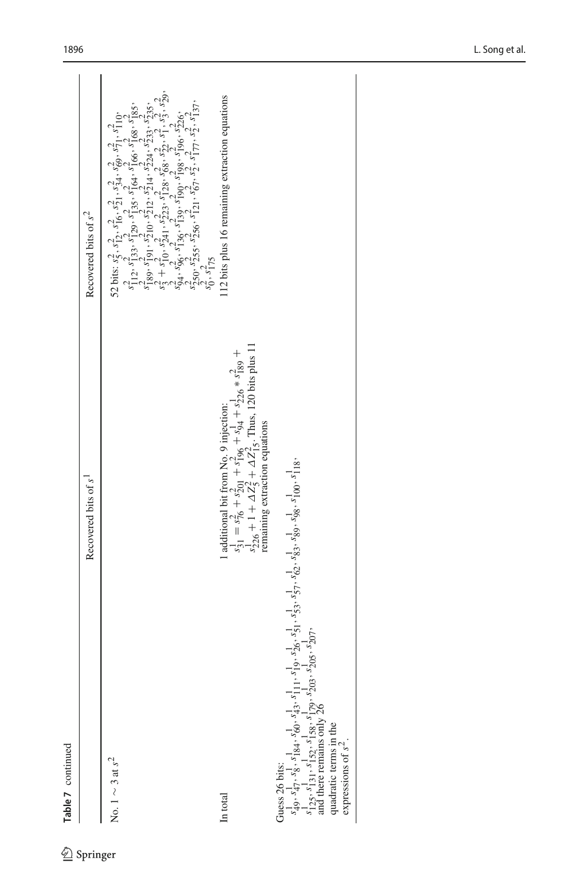| Table 7 continued                                                                                                                                                                                                                                                                    |                                                                                                                                                                                                                                    |                                                                                                                                                                                                                                                                                                                  |
|--------------------------------------------------------------------------------------------------------------------------------------------------------------------------------------------------------------------------------------------------------------------------------------|------------------------------------------------------------------------------------------------------------------------------------------------------------------------------------------------------------------------------------|------------------------------------------------------------------------------------------------------------------------------------------------------------------------------------------------------------------------------------------------------------------------------------------------------------------|
|                                                                                                                                                                                                                                                                                      | Recovered bits of s <sup>1</sup>                                                                                                                                                                                                   | Recovered bits of $s^2$                                                                                                                                                                                                                                                                                          |
| No. $1 \sim 3$ at $s^2$                                                                                                                                                                                                                                                              |                                                                                                                                                                                                                                    | $\begin{array}{ll} & 52 \; \mbox{bits:} \; s_7^2, \; s_{12}^2, \; s_{16}^2, \; s_{19}^2, \; s_{24}^2, \; s_{89}^2, \; s_{71}^2, \; s_{11}^2 \; \mbox{,} \\ & s_{11}^2, \; s_{123}^2, \; s_{129}^2, \; s_{135}^2, \; s_{164}^2, \; s_{166}^2, \; s_{168}^2, \; s_{185}^2, \\ & s_{189}^2, \; s_{191}^2, \; s_{21$ |
| In total                                                                                                                                                                                                                                                                             | 1 additional bit from No. 9 injection:<br>$s_3^1 = s_7^2 + s_{201}^2 + s_{196}^2 + s_{34}^1 + s_{226}^1 * s_{189}^2 +$<br>$s_{226}^1 + 1 + \Delta Z_5^2 + \Delta Z_5^2$ . Thus, 120 bits plus 11<br>remaining extraction equations | 112 bits plus 16 remaining extraction equations                                                                                                                                                                                                                                                                  |
| Guess 26 bits:<br>$s_{49}^{1}$ , $s_{47}^{1}$ , $s_{8}^{1}$ , $s_{184}^{1}$ , $s_{61}^{1}$ , $s_{19}^{1}$ , $s_{19}^{1}$ , $s_{20}^{1}$ , $s_{51}^{1}$ , $s_{52}^{1}$ , $s_{62}^{1}$ , $s_{83}^{1}$ , $s_{89}^{1}$ , $s_{98}^{1}$ , $s_{100}^{1}$ , $s_{118}^{1}$ ,<br>$s_{125}^{1}$ |                                                                                                                                                                                                                                    |                                                                                                                                                                                                                                                                                                                  |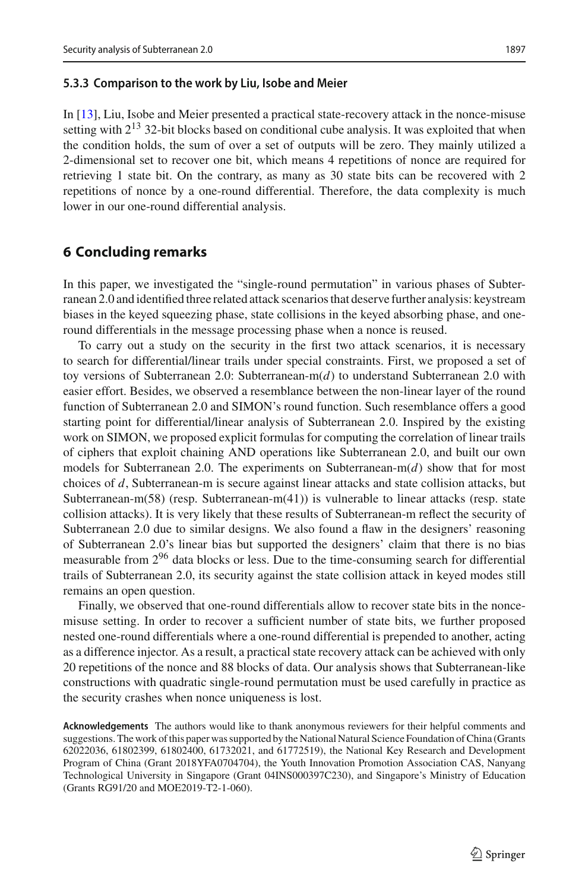#### **5.3.3 Comparison to the work by Liu, Isobe and Meier**

In [\[13\]](#page-29-4), Liu, Isobe and Meier presented a practical state-recovery attack in the nonce-misuse setting with  $2^{13}$  32-bit blocks based on conditional cube analysis. It was exploited that when the condition holds, the sum of over a set of outputs will be zero. They mainly utilized a 2-dimensional set to recover one bit, which means 4 repetitions of nonce are required for retrieving 1 state bit. On the contrary, as many as 30 state bits can be recovered with 2 repetitions of nonce by a one-round differential. Therefore, the data complexity is much lower in our one-round differential analysis.

### <span id="page-22-0"></span>**6 Concluding remarks**

In this paper, we investigated the "single-round permutation" in various phases of Subterranean 2.0 and identified three related attack scenarios that deserve further analysis: keystream biases in the keyed squeezing phase, state collisions in the keyed absorbing phase, and oneround differentials in the message processing phase when a nonce is reused.

To carry out a study on the security in the first two attack scenarios, it is necessary to search for differential/linear trails under special constraints. First, we proposed a set of toy versions of Subterranean 2.0: Subterranean-m(*d*) to understand Subterranean 2.0 with easier effort. Besides, we observed a resemblance between the non-linear layer of the round function of Subterranean 2.0 and SIMON's round function. Such resemblance offers a good starting point for differential/linear analysis of Subterranean 2.0. Inspired by the existing work on SIMON, we proposed explicit formulas for computing the correlation of linear trails of ciphers that exploit chaining AND operations like Subterranean 2.0, and built our own models for Subterranean 2.0. The experiments on Subterranean-m(*d*) show that for most choices of *d*, Subterranean-m is secure against linear attacks and state collision attacks, but Subterranean-m(58) (resp. Subterranean-m(41)) is vulnerable to linear attacks (resp. state collision attacks). It is very likely that these results of Subterranean-m reflect the security of Subterranean 2.0 due to similar designs. We also found a flaw in the designers' reasoning of Subterranean 2.0's linear bias but supported the designers' claim that there is no bias measurable from  $2^{96}$  data blocks or less. Due to the time-consuming search for differential trails of Subterranean 2.0, its security against the state collision attack in keyed modes still remains an open question.

Finally, we observed that one-round differentials allow to recover state bits in the noncemisuse setting. In order to recover a sufficient number of state bits, we further proposed nested one-round differentials where a one-round differential is prepended to another, acting as a difference injector. As a result, a practical state recovery attack can be achieved with only 20 repetitions of the nonce and 88 blocks of data. Our analysis shows that Subterranean-like constructions with quadratic single-round permutation must be used carefully in practice as the security crashes when nonce uniqueness is lost.

**Acknowledgements** The authors would like to thank anonymous reviewers for their helpful comments and suggestions. The work of this paper was supported by the National Natural Science Foundation of China (Grants 62022036, 61802399, 61802400, 61732021, and 61772519), the National Key Research and Development Program of China (Grant 2018YFA0704704), the Youth Innovation Promotion Association CAS, Nanyang Technological University in Singapore (Grant 04INS000397C230), and Singapore's Ministry of Education (Grants RG91/20 and MOE2019-T2-1-060).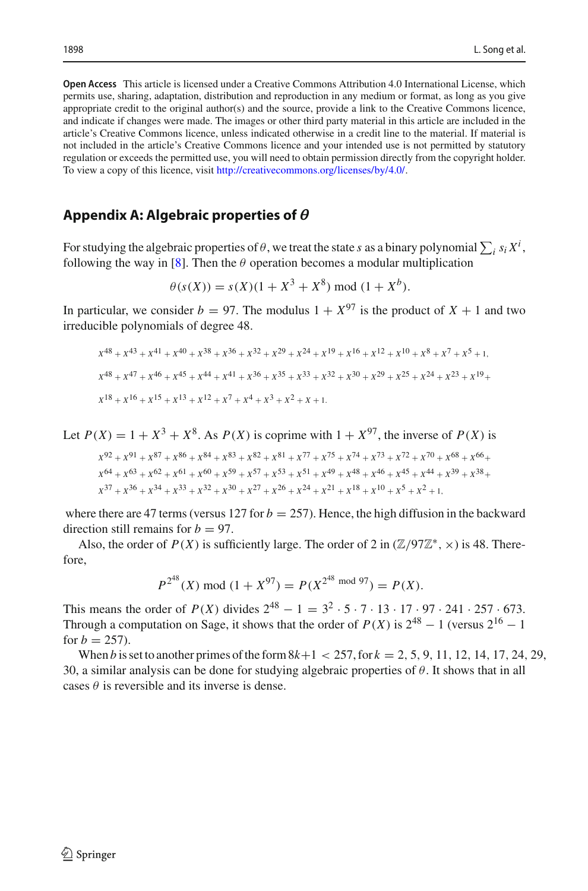**Open Access** This article is licensed under a Creative Commons Attribution 4.0 International License, which permits use, sharing, adaptation, distribution and reproduction in any medium or format, as long as you give appropriate credit to the original author(s) and the source, provide a link to the Creative Commons licence, and indicate if changes were made. The images or other third party material in this article are included in the article's Creative Commons licence, unless indicated otherwise in a credit line to the material. If material is not included in the article's Creative Commons licence and your intended use is not permitted by statutory regulation or exceeds the permitted use, you will need to obtain permission directly from the copyright holder. To view a copy of this licence, visit [http://creativecommons.org/licenses/by/4.0/.](http://creativecommons.org/licenses/by/4.0/)

## <span id="page-23-0"></span>**Appendix A: Algebraic properties of**

For studying the algebraic properties of  $\theta$ , we treat the state *s* as a binary polynomial  $\sum_i s_i X^i$ , following the way in [\[8\]](#page-29-1). Then the  $\theta$  operation becomes a modular multiplication

$$
\theta(s(X)) = s(X)(1 + X^3 + X^8) \bmod (1 + X^b).
$$

In particular, we consider  $b = 97$ . The modulus  $1 + X^{97}$  is the product of  $X + 1$  and two irreducible polynomials of degree 48.

$$
x^{48} + x^{43} + x^{41} + x^{40} + x^{38} + x^{36} + x^{32} + x^{29} + x^{24} + x^{19} + x^{16} + x^{12} + x^{10} + x^8 + x^7 + x^5 + 1,
$$
  
\n
$$
x^{48} + x^{47} + x^{46} + x^{45} + x^{44} + x^{41} + x^{36} + x^{35} + x^{33} + x^{32} + x^{30} + x^{29} + x^{25} + x^{24} + x^{23} + x^{19} + x^{18} + x^{16} + x^{15} + x^{13} + x^{12} + x^7 + x^4 + x^3 + x^2 + x + 1.
$$

Let  $P(X) = 1 + X^3 + X^8$ . As  $P(X)$  is coprime with  $1 + X^{97}$ , the inverse of  $P(X)$  is

$$
\begin{aligned} \label{eq:ch-6} X^{92} + X^{91} + X^{87} + X^{86} + X^{84} + X^{83} + X^{82} + X^{81} + X^{77} + X^{75} + X^{74} + X^{73} + X^{72} + X^{70} + X^{68} + X^{66} + \\ X^{64} + X^{63} + X^{62} + X^{61} + X^{60} + X^{59} + X^{57} + X^{53} + X^{51} + X^{49} + X^{48} + X^{46} + X^{45} + X^{44} + X^{39} + X^{38} + \\ X^{37} + X^{36} + X^{34} + X^{33} + X^{32} + X^{30} + X^{27} + X^{26} + X^{24} + X^{21} + X^{18} + X^{10} + X^{5} + X^{2} + 1, \end{aligned}
$$

where there are 47 terms (versus 127 for  $b = 257$ ). Hence, the high diffusion in the backward direction still remains for  $b = 97$ .

Also, the order of  $P(X)$  is sufficiently large. The order of 2 in  $(\mathbb{Z}/97\mathbb{Z}^*, \times)$  is 48. Therefore,

$$
P^{2^{48}}(X) \bmod (1 + X^{97}) = P(X^{2^{48} \bmod 97}) = P(X).
$$

This means the order of  $P(X)$  divides  $2^{48} - 1 = 3^2 \cdot 5 \cdot 7 \cdot 13 \cdot 17 \cdot 97 \cdot 241 \cdot 257 \cdot 673$ . Through a computation on Sage, it shows that the order of  $P(X)$  is  $2^{48} - 1$  (versus  $2^{16} - 1$ for  $b = 257$ ).

When *b* is set to another primes of the form  $8k+1 < 257$ , for  $k = 2, 5, 9, 11, 12, 14, 17, 24, 29$ , 30, a similar analysis can be done for studying algebraic properties of  $\theta$ . It shows that in all cases  $\theta$  is reversible and its inverse is dense.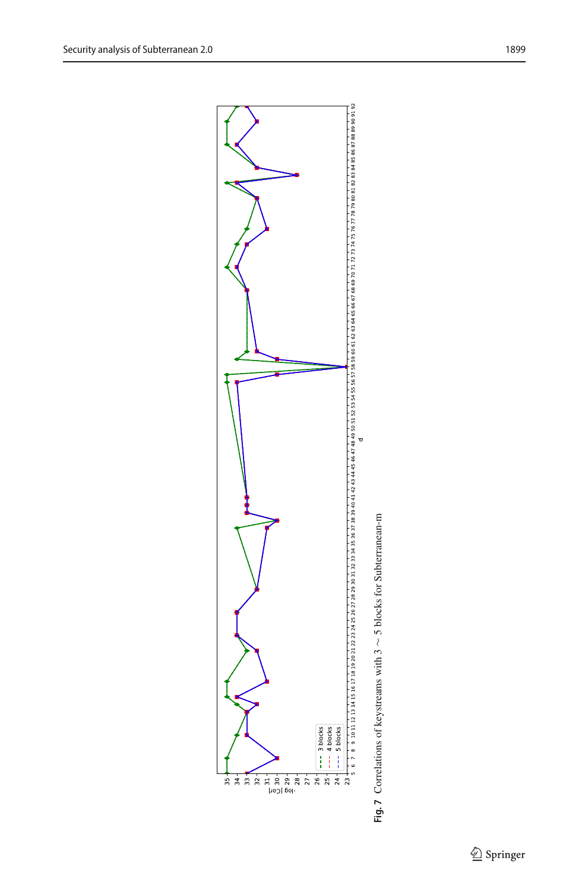

<span id="page-24-0"></span>**Fig. 7** Correlations of keystreams with 3 Fig. 7 Correlations of keystreams with 3 ~ 5 blocks for Subterranean-m  $\sim$  5 blocks for Subterranean-m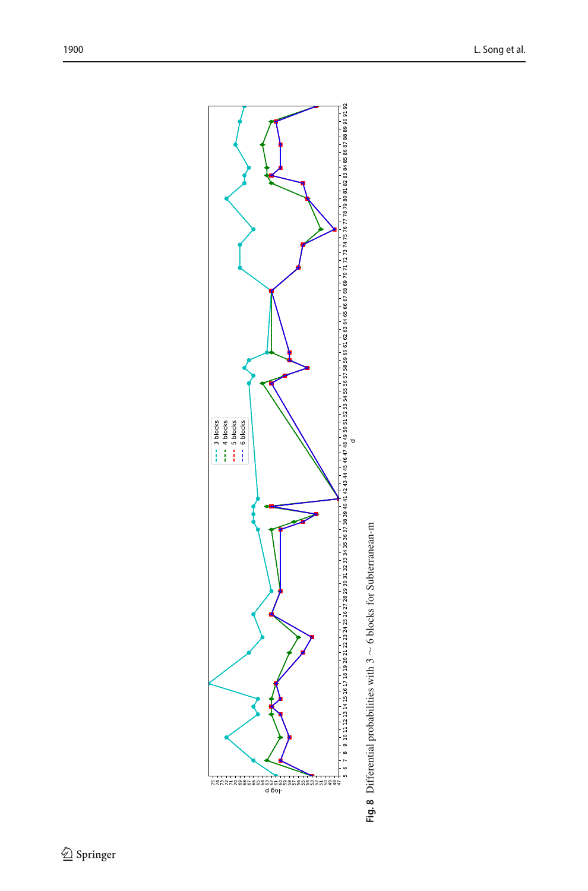

<span id="page-25-0"></span>Fig. 8 Differential probabilities with  $3 \sim 6$  blocks for Subterranean-m **Fig. 8** Differential probabilities with 3 ∼ 6 blocks for Subterranean-m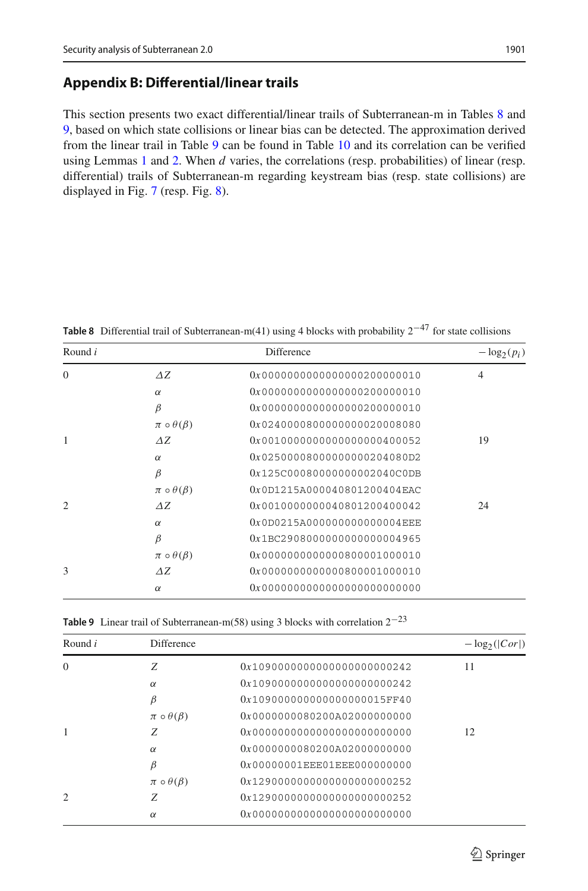## **Appendix B: Differential/linear trails**

This section presents two exact differential/linear trails of Subterranean-m in Tables [8](#page-26-1) and [9,](#page-26-0) based on which state collisions or linear bias can be detected. The approximation derived from the linear trail in Table [9](#page-26-0) can be found in Table [10](#page-27-0) and its correlation can be verified using Lemmas [1](#page-12-0) and [2.](#page-13-0) When *d* varies, the correlations (resp. probabilities) of linear (resp. differential) trails of Subterranean-m regarding keystream bias (resp. state collisions) are displayed in Fig. [7](#page-24-0) (resp. Fig. [8\)](#page-25-0).

| Round $i$      |                           | <b>Difference</b>           | $-\log_2(p_i)$ |
|----------------|---------------------------|-----------------------------|----------------|
| $\Omega$       | $\Delta Z$                | 0x0000000000000000200000010 | $\overline{4}$ |
|                | $\alpha$                  | 0x0000000000000000200000010 |                |
|                | $\beta$                   | 0x0000000000000000200000010 |                |
|                | $\pi \circ \theta(\beta)$ | 0x0240000800000000020008080 |                |
| 1              | AZ.                       | 0x0010000000000000000400052 | 19             |
|                | $\alpha$                  | 0x02500008000000000204080D2 |                |
|                | $\beta$                   | 0x125C00080000000002040C0DB |                |
|                | $\pi \circ \theta(\beta)$ | 0x0D1215A000040801200404EAC |                |
| $\overline{c}$ | AZ.                       | 0x0010000000040801200400042 | 24             |
|                | $\alpha$                  | 0x0D0215A000000000000004EEE |                |
|                | $\beta$                   | 0x1BC2908000000000000004965 |                |
|                | $\pi \circ \theta(\beta)$ | 0x0000000000000800001000010 |                |
| 3              | AZ.                       | 0x0000000000000800001000010 |                |
|                | $\alpha$                  | 0x0000000000000000000000000 |                |

<span id="page-26-1"></span>**Table 8** Differential trail of Subterranean-m(41) using 4 blocks with probability 2−<sup>47</sup> for state collisions

<span id="page-26-0"></span>

|  |  |  |  |  | <b>Table 9</b> Linear trail of Subterranean-m(58) using 3 blocks with correlation $2^{-23}$ |
|--|--|--|--|--|---------------------------------------------------------------------------------------------|
|--|--|--|--|--|---------------------------------------------------------------------------------------------|

| Round $i$      | Difference                |                                 | $-\log_2( Cor )$ |
|----------------|---------------------------|---------------------------------|------------------|
| $\Omega$       | Z                         | 0x10900000000000000000000242    | 11               |
|                | $\alpha$                  | 0x10900000000000000000000242    |                  |
|                | β                         | $0x109000000000000000015$ FF40  |                  |
|                | $\pi \circ \theta(\beta)$ | 0x00000000802000020000000000    |                  |
|                | Z                         |                                 | 12               |
|                | $\alpha$                  | 0x00000000802000020000000000    |                  |
|                | β                         | $0x00000001$ EEE01EEE0000000000 |                  |
|                | $\pi \circ \theta(\beta)$ | 0x12900000000000000000000252    |                  |
| $\mathfrak{D}$ | Z                         | 0x12900000000000000000000252    |                  |
|                | $\alpha$                  |                                 |                  |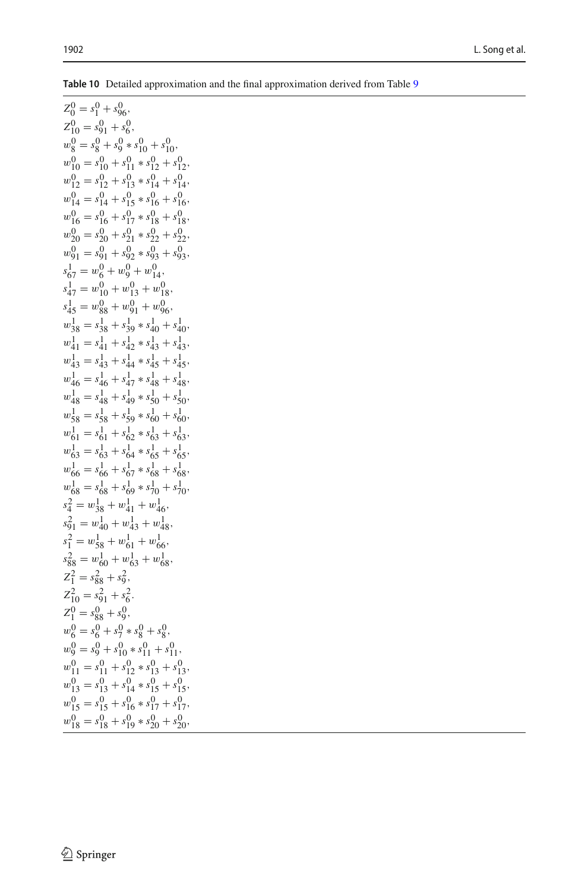| $Z_0^0 = s_1^0 + s_{96}^0,$                              |
|----------------------------------------------------------|
| $Z_{10}^0 = s_{91}^0 + s_6^0,$                           |
| $w_8^0 = s_8^0 + s_9^0 * s_{10}^0 + s_{10}^0,$           |
| $w_{10}^0 = s_{10}^0 + s_{11}^0 * s_{12}^0 + s_{12}^0$ , |
| $w_{12}^0 = s_{12}^0 + s_{13}^0 * s_{14}^0 + s_{14}^0,$  |
| $w_{14}^0 = s_{14}^0 + s_{15}^0 * s_{16}^0 + s_{16}^0$   |
| $w_{16}^0 = s_{16}^0 + s_{17}^0 * s_{18}^0 + s_{18}^0,$  |
| $w_{20}^0 = s_{20}^0 + s_{21}^0 * s_{22}^0 + s_{22}^0$   |
| $w_{91}^0 = s_{91}^0 + s_{92}^0 * s_{93}^0 + s_{93}^0$   |
| $s_{67}^1 = w_6^0 + w_9^0 + w_{14}^0$                    |
| $s_{47}^1 = w_{10}^0 + w_{13}^0 + w_{18}^0$              |
| $s_{45}^1 = w_{88}^0 + w_{91}^0 + w_{96}^0$              |
| $w_{38}^1 = s_{38}^1 + s_{39}^1 * s_{40}^1 + s_{40}^1$ , |
| $w_{41}^1 = s_{41}^1 + s_{42}^1 * s_{43}^1 + s_{43}^1,$  |
| $w_{43}^1 = s_{43}^1 + s_{44}^1 * s_{45}^1 + s_{45}^1,$  |
| $w_{46}^1 = s_{46}^1 + s_{47}^1 * s_{48}^1 + s_{48}^1,$  |
| $w^1_{48} = s^1_{48} + s^1_{49} * s^1_{50} + s^1_{50},$  |
| $w_{58}^1 = s_{58}^1 + s_{59}^1 * s_{60}^1 + s_{60}^1$ , |
| $w_{61}^1 = s_{61}^1 + s_{62}^1 * s_{63}^1 + s_{63}^1$ , |
| $w_{63}^1 = s_{63}^1 + s_{64}^1 * s_{65}^1 + s_{65}^1$   |
| $w_{66}^1 = s_{66}^1 + s_{67}^1 * s_{68}^1 + s_{68}^1$   |
| $w_{68}^1 = s_{68}^1 + s_{69}^1 * s_{70}^1 + s_{70}^1$ , |
| $s_4^2 = w_{38}^1 + w_{41}^1 + w_{46}^1$                 |
| $s_{91}^2 = w_{40}^1 + w_{43}^1 + w_{48}^1$ ,            |
| $s_1^2 = w_{58}^1 + w_{61}^1 + w_{66}^1$                 |
| $s_{88}^2 = w_{60}^1 + w_{63}^1 + w_{68}^1$              |
| $Z_1^2 = s_{88}^2 + s_9^2$ ,                             |
| $Z_{10}^2 = s_{91}^2 + s_6^2$ .                          |
| $Z_1^0 = s_{88}^0 + s_9^0,$                              |
| $w_6^0 = s_6^0 + s_7^0 * s_8^0 + s_8^0,$                 |
| $w_9^0 = s_9^0 + s_{10}^0 * s_{11}^0 + s_{11}^0$ ,       |
| $w_{11}^0 = s_{11}^0 + s_{12}^0 * s_{13}^0 + s_{13}^0,$  |
| $w_{13}^0 = s_{13}^0 + s_{14}^0 * s_{15}^0 + s_{15}^0,$  |
| $w_{15}^0 = s_{15}^0 + s_{16}^0 * s_{17}^0 + s_{17}^0$ , |
| $w_{18}^0 = s_{18}^0 + s_{19}^0 * s_{20}^0 + s_{20}^0$ , |

<span id="page-27-0"></span>**Table 10** Detailed approximation and the final approximation derived from Table [9](#page-26-0)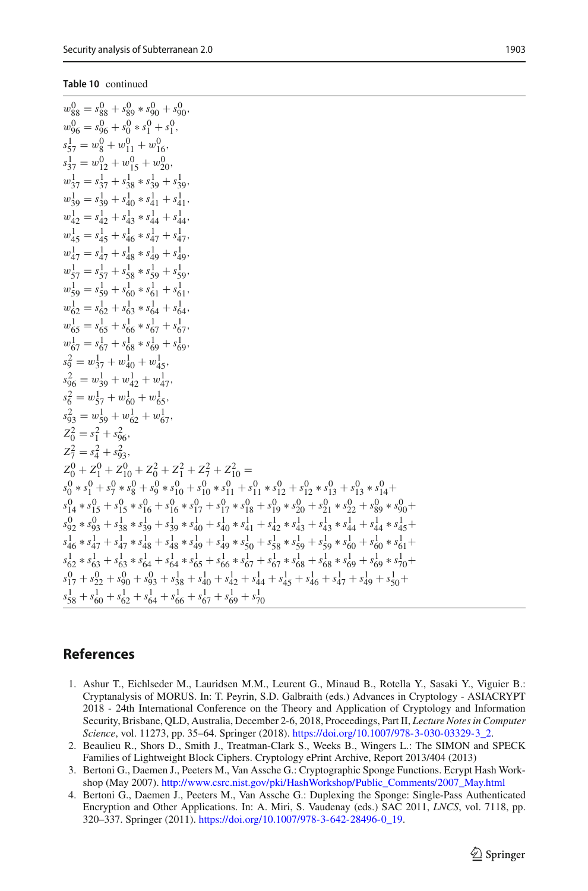#### **Table 10** continued

| $w_{88}^0 = s_{88}^0 + s_{89}^0 * s_{90}^0 + s_{90}^0$                                                                                                                                  |
|-----------------------------------------------------------------------------------------------------------------------------------------------------------------------------------------|
| $w_{96}^0 = s_{96}^0 + s_0^0 * s_1^0 + s_1^0$ ,                                                                                                                                         |
| $s_{57}^1 = w_8^0 + w_{11}^0 + w_{16}^0$                                                                                                                                                |
| $s_{37}^1 = w_{12}^0 + w_{15}^0 + w_{20}^0$                                                                                                                                             |
| $w_{37}^1 = s_{37}^1 + s_{38}^1 * s_{39}^1 + s_{39}^1$                                                                                                                                  |
| $w_{39}^1 = s_{39}^1 + s_{40}^1 * s_{41}^1 + s_{41}^1$ ,                                                                                                                                |
| $w_{42}^1 = s_{42}^1 + s_{43}^1 * s_{44}^1 + s_{44}^1$ ,                                                                                                                                |
| $w_{45}^1 = s_{45}^1 + s_{46}^1 * s_{47}^1 + s_{47}^1$                                                                                                                                  |
| $w_{47}^1 = s_{47}^1 + s_{48}^1 * s_{49}^1 + s_{49}^1$                                                                                                                                  |
| $w_{57}^1 = s_{57}^1 + s_{58}^1 * s_{59}^1 + s_{59}^1$                                                                                                                                  |
| $w_{59}^1 = s_{59}^1 + s_{60}^1 * s_{61}^1 + s_{61}^1$                                                                                                                                  |
| $w_{62}^1 = s_{62}^1 + s_{63}^1 * s_{64}^1 + s_{64}^1$                                                                                                                                  |
| $w_{65}^1 = s_{65}^1 + s_{66}^1 * s_{67}^1 + s_{67}^1$                                                                                                                                  |
| $w_{67}^1 = s_{67}^1 + s_{68}^1 * s_{69}^1 + s_{69}^1$                                                                                                                                  |
| $s_9^2 = w_{37}^1 + w_{40}^1 + w_{45}^1$                                                                                                                                                |
| $s_{96}^2 = w_{39}^1 + w_{42}^1 + w_{47}^1$                                                                                                                                             |
| $s_6^2 = w_{57}^1 + w_{60}^1 + w_{65}^1$                                                                                                                                                |
| $s_{93}^2 = w_{59}^1 + w_{62}^1 + w_{67}^1$                                                                                                                                             |
| $Z_0^2 = s_1^2 + s_{96}^2$                                                                                                                                                              |
| $Z_7^2 = s_4^2 + s_{93}^2$                                                                                                                                                              |
| $Z_0^0 + Z_1^0 + Z_{10}^0 + Z_0^2 + Z_1^2 + Z_7^2 + Z_{10}^2 =$                                                                                                                         |
| $s_0^0 * s_1^0 + s_7^0 * s_8^0 + s_9^0 * s_{10}^0 + s_{10}^0 * s_{11}^0 + s_{11}^0 * s_{12}^0 + s_{12}^0 * s_{13}^0 + s_{13}^0 * s_{14}^0 +$                                            |
| $s_{14}^0$ * $s_{15}^0$ + $s_{16}^0$ * $s_{16}^0$ + $s_{16}^0$ * $s_{17}^0$ + $s_{18}^0$ + $s_{18}^0$ + $s_{20}^0$ + $s_{21}^0$ * $s_{22}^0$ + $s_{89}^0$ +                             |
| $s_{92}^0$ * $s_{93}^0$ + $s_{38}^1$ * $s_{39}^1$ + $s_{39}^1$ * $s_{40}^1$ + $s_{40}^1$ * $s_{41}^1$ + $s_{42}^1$ * $s_{43}^1$ + $s_{43}^1$ * $s_{44}^1$ + $s_{44}^1$ * $s_{45}^1$ +   |
| $s_{46}^{1} * s_{47}^{1} + s_{47}^{1} * s_{48}^{1} + s_{48}^{1} * s_{49}^{1} + s_{49}^{1} * s_{50}^{1} + s_{58}^{1} * s_{59}^{1} + s_{59}^{1} * s_{60}^{1} + s_{60}^{1} * s_{61}^{1} +$ |
| $s_{62}^{1} * s_{63}^{1} + s_{63}^{1} * s_{64}^{1} + s_{64}^{1} * s_{65}^{1} + s_{66}^{1} * s_{67}^{1} + s_{67}^{1} * s_{68}^{1} + s_{68}^{1} * s_{69}^{1} + s_{69}^{1} * s_{70}^{1} +$ |
| $s_{17}^0 + s_{22}^0 + s_{90}^0 + s_{93}^0 + s_{38}^1 + s_{40}^1 + s_{42}^1 + s_{44}^1 + s_{45}^1 + s_{46}^1 + s_{47}^1 + s_{49}^1 + s_{50}^1 +$                                        |
| $s_{58}^{1} + s_{60}^{1} + s_{62}^{1} + s_{64}^{1} + s_{66}^{1} + s_{67}^{1} + s_{69}^{1} + s_{70}^{1}$                                                                                 |

## **References**

- <span id="page-28-3"></span>1. Ashur T., Eichlseder M., Lauridsen M.M., Leurent G., Minaud B., Rotella Y., Sasaki Y., Viguier B.: Cryptanalysis of MORUS. In: T. Peyrin, S.D. Galbraith (eds.) Advances in Cryptology - ASIACRYPT 2018 - 24th International Conference on the Theory and Application of Cryptology and Information Security, Brisbane, QLD, Australia, December 2-6, 2018, Proceedings, Part II, *Lecture Notes in Computer Science*, vol. 11273, pp. 35–64. Springer (2018). [https://doi.org/10.1007/978-3-030-03329-3\\_2.](https://doi.org/10.1007/978-3-030-03329-3_2)
- <span id="page-28-2"></span>2. Beaulieu R., Shors D., Smith J., Treatman-Clark S., Weeks B., Wingers L.: The SIMON and SPECK Families of Lightweight Block Ciphers. Cryptology ePrint Archive, Report 2013/404 (2013)
- <span id="page-28-1"></span>3. Bertoni G., Daemen J., Peeters M., Van Assche G.: Cryptographic Sponge Functions. Ecrypt Hash Workshop (May 2007). [http://www.csrc.nist.gov/pki/HashWorkshop/Public\\_Comments/2007\\_May.html](http://www.csrc.nist.gov/pki/HashWorkshop/Public_Comments/2007_May.html)
- <span id="page-28-0"></span>4. Bertoni G., Daemen J., Peeters M., Van Assche G.: Duplexing the Sponge: Single-Pass Authenticated Encryption and Other Applications. In: A. Miri, S. Vaudenay (eds.) SAC 2011, *LNCS*, vol. 7118, pp. 320–337. Springer (2011). [https://doi.org/10.1007/978-3-642-28496-0\\_19.](https://doi.org/10.1007/978-3-642-28496-0_19)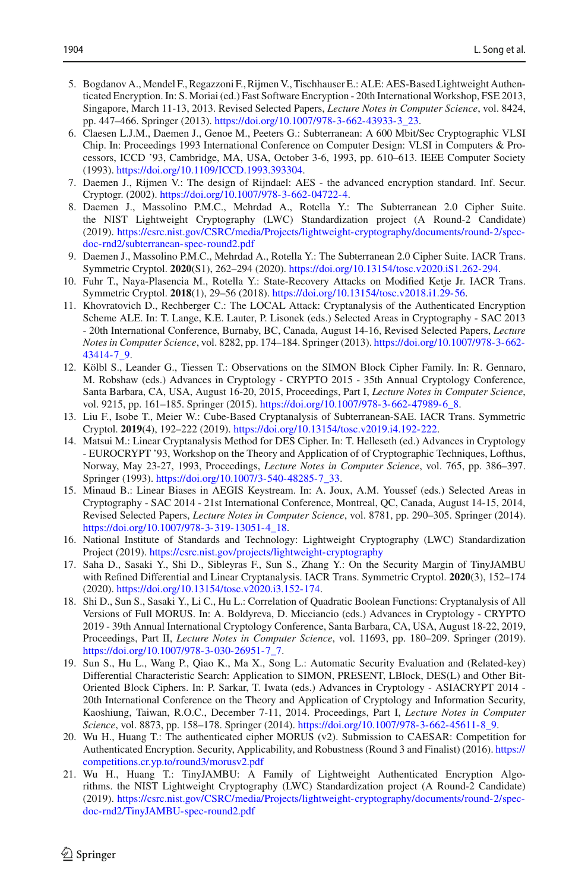- <span id="page-29-11"></span>5. Bogdanov A., Mendel F., Regazzoni F., Rijmen V., Tischhauser E.: ALE: AES-Based Lightweight Authenticated Encryption. In: S. Moriai (ed.) Fast Software Encryption - 20th International Workshop, FSE 2013, Singapore, March 11-13, 2013. Revised Selected Papers, *Lecture Notes in Computer Science*, vol. 8424, pp. 447–466. Springer (2013). [https://doi.org/10.1007/978-3-662-43933-3\\_23.](https://doi.org/10.1007/978-3-662-43933-3_23)
- <span id="page-29-3"></span>6. Claesen L.J.M., Daemen J., Genoe M., Peeters G.: Subterranean: A 600 Mbit/Sec Cryptographic VLSI Chip. In: Proceedings 1993 International Conference on Computer Design: VLSI in Computers & Processors, ICCD '93, Cambridge, MA, USA, October 3-6, 1993, pp. 610–613. IEEE Computer Society (1993). [https://doi.org/10.1109/ICCD.1993.393304.](https://doi.org/10.1109/ICCD.1993.393304)
- <span id="page-29-6"></span>7. Daemen J., Rijmen V.: The design of Rijndael: AES - the advanced encryption standard. Inf. Secur. Cryptogr. (2002). [https://doi.org/10.1007/978-3-662-04722-4.](https://doi.org/10.1007/978-3-662-04722-4)
- <span id="page-29-1"></span>8. Daemen J., Massolino P.M.C., Mehrdad A., Rotella Y.: The Subterranean 2.0 Cipher Suite. the NIST Lightweight Cryptography (LWC) Standardization project (A Round-2 Candidate) (2019). [https://csrc.nist.gov/CSRC/media/Projects/lightweight-cryptography/documents/round-2/spec](https://csrc.nist.gov/CSRC/media/Projects/lightweight-cryptography/documents/round-2/spec-doc-rnd2/subterranean-spec-round2.pdf)[doc-rnd2/subterranean-spec-round2.pdf](https://csrc.nist.gov/CSRC/media/Projects/lightweight-cryptography/documents/round-2/spec-doc-rnd2/subterranean-spec-round2.pdf)
- <span id="page-29-2"></span>9. Daemen J., Massolino P.M.C., Mehrdad A., Rotella Y.: The Subterranean 2.0 Cipher Suite. IACR Trans. Symmetric Cryptol. **2020**(S1), 262–294 (2020). [https://doi.org/10.13154/tosc.v2020.iS1.262-294.](https://doi.org/10.13154/tosc.v2020.iS1.262-294)
- <span id="page-29-16"></span>10. Fuhr T., Naya-Plasencia M., Rotella Y.: State-Recovery Attacks on Modified Ketje Jr. IACR Trans. Symmetric Cryptol. **2018**(1), 29–56 (2018). [https://doi.org/10.13154/tosc.v2018.i1.29-56.](https://doi.org/10.13154/tosc.v2018.i1.29-56)
- <span id="page-29-10"></span>11. Khovratovich D., Rechberger C.: The LOCAL Attack: Cryptanalysis of the Authenticated Encryption Scheme ALE. In: T. Lange, K.E. Lauter, P. Lisonek (eds.) Selected Areas in Cryptography - SAC 2013 - 20th International Conference, Burnaby, BC, Canada, August 14-16, Revised Selected Papers, *Lecture Notes in Computer Science*, vol. 8282, pp. 174–184. Springer (2013). [https://doi.org/10.1007/978-3-662-](https://doi.org/10.1007/978-3-662-43414-7_9) [43414-7\\_9.](https://doi.org/10.1007/978-3-662-43414-7_9)
- <span id="page-29-5"></span>12. Kölbl S., Leander G., Tiessen T.: Observations on the SIMON Block Cipher Family. In: R. Gennaro, M. Robshaw (eds.) Advances in Cryptology - CRYPTO 2015 - 35th Annual Cryptology Conference, Santa Barbara, CA, USA, August 16-20, 2015, Proceedings, Part I, *Lecture Notes in Computer Science*, vol. 9215, pp. 161–185. Springer (2015). [https://doi.org/10.1007/978-3-662-47989-6\\_8.](https://doi.org/10.1007/978-3-662-47989-6_8)
- <span id="page-29-4"></span>13. Liu F., Isobe T., Meier W.: Cube-Based Cryptanalysis of Subterranean-SAE. IACR Trans. Symmetric Cryptol. **2019**(4), 192–222 (2019). [https://doi.org/10.13154/tosc.v2019.i4.192-222.](https://doi.org/10.13154/tosc.v2019.i4.192-222)
- <span id="page-29-9"></span>14. Matsui M.: Linear Cryptanalysis Method for DES Cipher. In: T. Helleseth (ed.) Advances in Cryptology - EUROCRYPT '93, Workshop on the Theory and Application of of Cryptographic Techniques, Lofthus, Norway, May 23-27, 1993, Proceedings, *Lecture Notes in Computer Science*, vol. 765, pp. 386–397. Springer (1993). [https://doi.org/10.1007/3-540-48285-7\\_33.](https://doi.org/10.1007/3-540-48285-7_33)
- <span id="page-29-8"></span>15. Minaud B.: Linear Biases in AEGIS Keystream. In: A. Joux, A.M. Youssef (eds.) Selected Areas in Cryptography - SAC 2014 - 21st International Conference, Montreal, QC, Canada, August 14-15, 2014, Revised Selected Papers, *Lecture Notes in Computer Science*, vol. 8781, pp. 290–305. Springer (2014). [https://doi.org/10.1007/978-3-319-13051-4\\_18.](https://doi.org/10.1007/978-3-319-13051-4_18)
- <span id="page-29-0"></span>16. National Institute of Standards and Technology: Lightweight Cryptography (LWC) Standardization Project (2019). <https://csrc.nist.gov/projects/lightweight-cryptography>
- <span id="page-29-15"></span>17. Saha D., Sasaki Y., Shi D., Sibleyras F., Sun S., Zhang Y.: On the Security Margin of TinyJAMBU with Refined Differential and Linear Cryptanalysis. IACR Trans. Symmetric Cryptol. **2020**(3), 152–174 (2020). [https://doi.org/10.13154/tosc.v2020.i3.152-174.](https://doi.org/10.13154/tosc.v2020.i3.152-174)
- <span id="page-29-7"></span>18. Shi D., Sun S., Sasaki Y., Li C., Hu L.: Correlation of Quadratic Boolean Functions: Cryptanalysis of All Versions of Full MORUS. In: A. Boldyreva, D. Micciancio (eds.) Advances in Cryptology - CRYPTO 2019 - 39th Annual International Cryptology Conference, Santa Barbara, CA, USA, August 18-22, 2019, Proceedings, Part II, *Lecture Notes in Computer Science*, vol. 11693, pp. 180–209. Springer (2019). [https://doi.org/10.1007/978-3-030-26951-7\\_7.](https://doi.org/10.1007/978-3-030-26951-7_7)
- <span id="page-29-14"></span>19. Sun S., Hu L., Wang P., Qiao K., Ma X., Song L.: Automatic Security Evaluation and (Related-key) Differential Characteristic Search: Application to SIMON, PRESENT, LBlock, DES(L) and Other Bit-Oriented Block Ciphers. In: P. Sarkar, T. Iwata (eds.) Advances in Cryptology - ASIACRYPT 2014 - 20th International Conference on the Theory and Application of Cryptology and Information Security, Kaoshiung, Taiwan, R.O.C., December 7-11, 2014. Proceedings, Part I, *Lecture Notes in Computer Science*, vol. 8873, pp. 158–178. Springer (2014). [https://doi.org/10.1007/978-3-662-45611-8\\_9.](https://doi.org/10.1007/978-3-662-45611-8_9)
- <span id="page-29-12"></span>20. Wu H., Huang T.: The authenticated cipher MORUS (v2). Submission to CAESAR: Competition for Authenticated Encryption. Security, Applicability, and Robustness (Round 3 and Finalist) (2016). [https://](https://competitions.cr.yp.to/round3/morusv2.pdf) [competitions.cr.yp.to/round3/morusv2.pdf](https://competitions.cr.yp.to/round3/morusv2.pdf)
- <span id="page-29-13"></span>21. Wu H., Huang T.: TinyJAMBU: A Family of Lightweight Authenticated Encryption Algorithms. the NIST Lightweight Cryptography (LWC) Standardization project (A Round-2 Candidate) (2019). [https://csrc.nist.gov/CSRC/media/Projects/lightweight-cryptography/documents/round-2/spec](https://csrc.nist.gov/CSRC/media/Projects/lightweight-cryptography/documents/round-2/spec-doc-rnd2/TinyJAMBU-spec-round2.pdf)[doc-rnd2/TinyJAMBU-spec-round2.pdf](https://csrc.nist.gov/CSRC/media/Projects/lightweight-cryptography/documents/round-2/spec-doc-rnd2/TinyJAMBU-spec-round2.pdf)